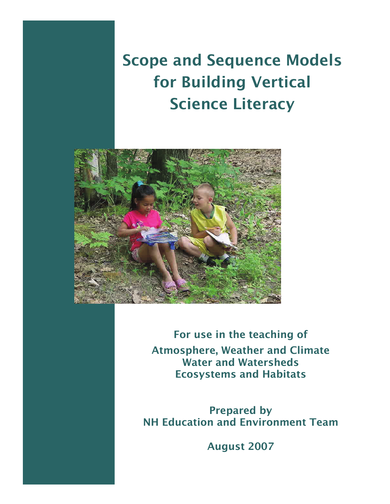# Scope and Sequence Models for Building Vertical Science Literacy



For use in the teaching of Atmosphere, Weather and Climate Water and Watersheds Ecosystems and Habitats

Prepared by NH Education and Environment Team

August 2007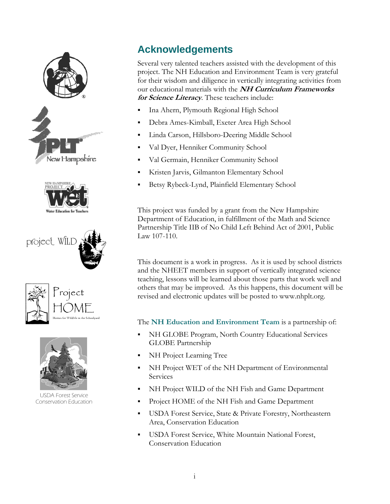

USDA Forest Service Conservation Education

# **Acknowledgements**

Several very talented teachers assisted with the development of this project. The NH Education and Environment Team is very grateful for their wisdom and diligence in vertically integrating activities from our educational materials with the **NH Curriculum Frameworks for Science Literacy**. These teachers include:

- **Ina Ahern, Plymouth Regional High School**
- Debra Ames-Kimball, Exeter Area High School
- Linda Carson, Hillsboro-Deering Middle School
- Val Dyer, Henniker Community School
- Val Germain, Henniker Community School
- Kristen Jarvis, Gilmanton Elementary School
- Betsy Rybeck-Lynd, Plainfield Elementary School

This project was funded by a grant from the New Hampshire Department of Education, in fulfillment of the Math and Science Partnership Title IIB of No Child Left Behind Act of 2001, Public Law 107-110.

This document is a work in progress. As it is used by school districts and the NHEET members in support of vertically integrated science teaching, lessons will be learned about those parts that work well and others that may be improved. As this happens, this document will be revised and electronic updates will be posted to www.nhplt.org.

The **NH Education and Environment Team** is a partnership of:

- NH GLOBE Program, North Country Educational Services GLOBE Partnership
- NH Project Learning Tree
- NH Project WET of the NH Department of Environmental Services
- NH Project WILD of the NH Fish and Game Department
- Project HOME of the NH Fish and Game Department
- USDA Forest Service, State & Private Forestry, Northeastern Area, Conservation Education
- USDA Forest Service, White Mountain National Forest, Conservation Education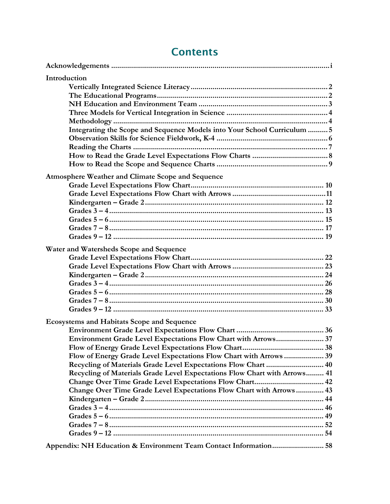| Introduction<br>Integrating the Scope and Sequence Models into Your School Curriculum  5                                                                                                                                                                                                                                                                                                                        |  |
|-----------------------------------------------------------------------------------------------------------------------------------------------------------------------------------------------------------------------------------------------------------------------------------------------------------------------------------------------------------------------------------------------------------------|--|
| <b>Atmosphere Weather and Climate Scope and Sequence</b>                                                                                                                                                                                                                                                                                                                                                        |  |
| Water and Watersheds Scope and Sequence                                                                                                                                                                                                                                                                                                                                                                         |  |
| <b>Ecosystems and Habitats Scope and Sequence</b><br>Environment Grade Level Expectations Flow Chart with Arrows 37<br>Flow of Energy Grade Level Expectations Flow Chart with Arrows  39<br>Recycling of Materials Grade Level Expectations Flow Chart  40<br>Recycling of Materials Grade Level Expectations Flow Chart with Arrows 41<br>Change Over Time Grade Level Expectations Flow Chart with Arrows 43 |  |
| Appendix: NH Education & Environment Team Contact Information 58                                                                                                                                                                                                                                                                                                                                                |  |

# **Contents**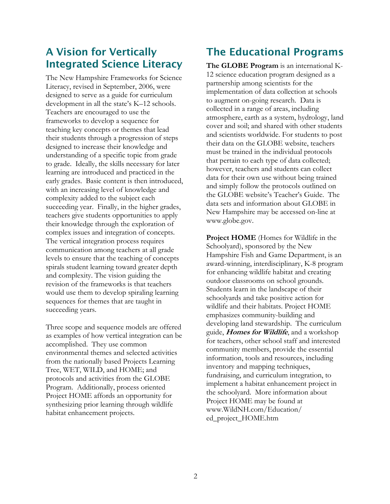# A Vision for Vertically Integrated Science Literacy

The New Hampshire Frameworks for Science Literacy, revised in September, 2006, were designed to serve as a guide for curriculum development in all the state's K–12 schools. Teachers are encouraged to use the frameworks to develop a sequence for teaching key concepts or themes that lead their students through a progression of steps designed to increase their knowledge and understanding of a specific topic from grade to grade. Ideally, the skills necessary for later learning are introduced and practiced in the early grades. Basic content is then introduced, with an increasing level of knowledge and complexity added to the subject each succeeding year. Finally, in the higher grades, teachers give students opportunities to apply their knowledge through the exploration of complex issues and integration of concepts. The vertical integration process requires communication among teachers at all grade levels to ensure that the teaching of concepts spirals student learning toward greater depth and complexity. The vision guiding the revision of the frameworks is that teachers would use them to develop spiraling learning sequences for themes that are taught in succeeding years.

Three scope and sequence models are offered as examples of how vertical integration can be accomplished. They use common environmental themes and selected activities from the nationally based Projects Learning Tree, WET, WILD, and HOME; and protocols and activities from the GLOBE Program. Additionally, process oriented Project HOME affords an opportunity for synthesizing prior learning through wildlife habitat enhancement projects.

# The Educational Programs

**The GLOBE Program** is an international K-12 science education program designed as a partnership among scientists for the implementation of data collection at schools to augment on-going research. Data is collected in a range of areas, including atmosphere, earth as a system, hydrology, land cover and soil; and shared with other students and scientists worldwide. For students to post their data on the GLOBE website, teachers must be trained in the individual protocols that pertain to each type of data collected; however, teachers and students can collect data for their own use without being trained and simply follow the protocols outlined on the GLOBE website's Teacher's Guide. The data sets and information about GLOBE in New Hampshire may be accessed on-line at www.globe.gov.

**Project HOME** (Homes for Wildlife in the Schoolyard), sponsored by the New Hampshire Fish and Game Department, is an award-winning, interdisciplinary, K-8 program for enhancing wildlife habitat and creating outdoor classrooms on school grounds. Students learn in the landscape of their schoolyards and take positive action for wildlife and their habitats. Project HOME emphasizes community-building and developing land stewardship. The curriculum guide, **Homes for Wildlife**, and a workshop for teachers, other school staff and interested community members, provide the essential information, tools and resources, including inventory and mapping techniques, fundraising, and curriculum integration, to implement a habitat enhancement project in the schoolyard. More information about Project HOME may be found at www.WildNH.com/Education/ ed\_project\_HOME.htm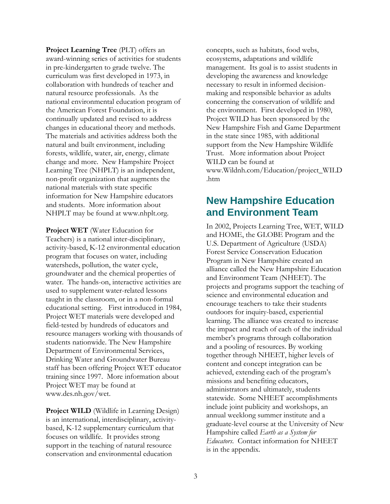**Project Learning Tree** (PLT) offers an award-winning series of activities for students in pre-kindergarten to grade twelve. The curriculum was first developed in 1973, in collaboration with hundreds of teacher and natural resource professionals. As the national environmental education program of the American Forest Foundation, it is continually updated and revised to address changes in educational theory and methods. The materials and activities address both the natural and built environment, including forests, wildlife, water, air, energy, climate change and more. New Hampshire Project Learning Tree (NHPLT) is an independent, non-profit organization that augments the national materials with state specific information for New Hampshire educators and students. More information about NHPLT may be found at www.nhplt.org.

**Project WET** (Water Education for Teachers) is a national inter-disciplinary, activity-based, K-12 environmental education program that focuses on water, including watersheds, pollution, the water cycle, groundwater and the chemical properties of water. The hands-on, interactive activities are used to supplement water-related lessons taught in the classroom, or in a non-formal educational setting. First introduced in 1984, Project WET materials were developed and field-tested by hundreds of educators and resource managers working with thousands of students nationwide. The New Hampshire Department of Environmental Services, Drinking Water and Groundwater Bureau staff has been offering Project WET educator training since 1997. More information about Project WET may be found at www.des.nh.gov/wet.

**Project WILD** (Wildlife in Learning Design) is an international, interdisciplinary, activitybased, K-12 supplementary curriculum that focuses on wildlife. It provides strong support in the teaching of natural resource conservation and environmental education

concepts, such as habitats, food webs, ecosystems, adaptations and wildlife management. Its goal is to assist students in developing the awareness and knowledge necessary to result in informed decisionmaking and responsible behavior as adults concerning the conservation of wildlife and the environment. First developed in 1980, Project WILD has been sponsored by the New Hampshire Fish and Game Department in the state since 1985, with additional support from the New Hampshire Wildlife Trust. More information about Project WILD can be found at www.Wildnh.com/Education/project\_WILD .htm

# **New Hampshire Education and Environment Team**

In 2002, Projects Learning Tree, WET, WILD and HOME, the GLOBE Program and the U.S. Department of Agriculture (USDA) Forest Service Conservation Education Program in New Hampshire created an alliance called the New Hampshire Education and Environment Team (NHEET). The projects and programs support the teaching of science and environmental education and encourage teachers to take their students outdoors for inquiry-based, experiential learning. The alliance was created to increase the impact and reach of each of the individual member's programs through collaboration and a pooling of resources. By working together through NHEET, higher levels of content and concept integration can be achieved, extending each of the program's missions and benefiting educators, administrators and ultimately, students statewide. Some NHEET accomplishments include joint publicity and workshops, an annual weeklong summer institute and a graduate-level course at the University of New Hampshire called *Earth as a System for Educators*. Contact information for NHEET is in the appendix.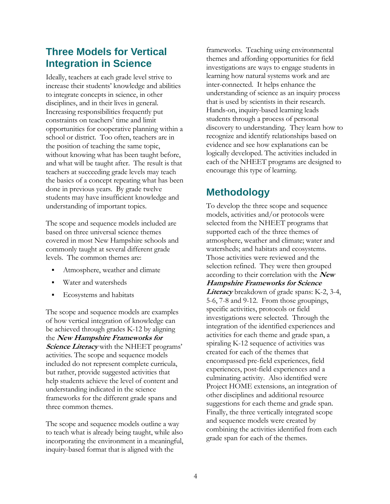# **Three Models for Vertical Integration in Science**

Ideally, teachers at each grade level strive to increase their students' knowledge and abilities to integrate concepts in science, in other disciplines, and in their lives in general. Increasing responsibilities frequently put constraints on teachers' time and limit opportunities for cooperative planning within a school or district. Too often, teachers are in the position of teaching the same topic, without knowing what has been taught before, and what will be taught after. The result is that teachers at succeeding grade levels may teach the basics of a concept repeating what has been done in previous years. By grade twelve students may have insufficient knowledge and understanding of important topics.

The scope and sequence models included are based on three universal science themes covered in most New Hampshire schools and commonly taught at several different grade levels. The common themes are:

- Atmosphere, weather and climate
- Water and watersheds
- Ecosystems and habitats

The scope and sequence models are examples of how vertical integration of knowledge can be achieved through grades K-12 by aligning the **New Hampshire Frameworks for Science Literacy** with the NHEET programs' activities. The scope and sequence models included do not represent complete curricula, but rather, provide suggested activities that help students achieve the level of content and understanding indicated in the science frameworks for the different grade spans and three common themes.

The scope and sequence models outline a way to teach what is already being taught, while also incorporating the environment in a meaningful, inquiry-based format that is aligned with the

frameworks. Teaching using environmental themes and affording opportunities for field investigations are ways to engage students in learning how natural systems work and are inter-connected. It helps enhance the understanding of science as an inquiry process that is used by scientists in their research. Hands-on, inquiry-based learning leads students through a process of personal discovery to understanding. They learn how to recognize and identify relationships based on evidence and see how explanations can be logically developed. The activities included in each of the NHEET programs are designed to encourage this type of learning.

# **Methodology**

To develop the three scope and sequence models, activities and/or protocols were selected from the NHEET programs that supported each of the three themes of atmosphere, weather and climate; water and watersheds; and habitats and ecosystems. Those activities were reviewed and the selection refined. They were then grouped according to their correlation with the **New Hampshire Frameworks for Science Literacy** breakdown of grade spans: K-2, 3-4, 5-6, 7-8 and 9-12. From those groupings, specific activities, protocols or field investigations were selected. Through the integration of the identified experiences and activities for each theme and grade span, a spiraling K-12 sequence of activities was created for each of the themes that encompassed pre-field experiences, field experiences, post-field experiences and a culminating activity. Also identified were Project HOME extensions, an integration of other disciplines and additional resource suggestions for each theme and grade span. Finally, the three vertically integrated scope and sequence models were created by combining the activities identified from each grade span for each of the themes.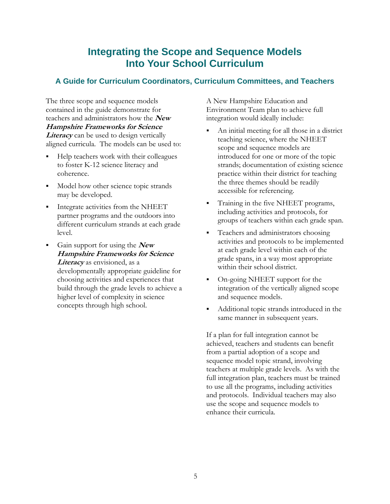# **Integrating the Scope and Sequence Models Into Your School Curriculum**

# **A Guide for Curriculum Coordinators, Curriculum Committees, and Teachers**

The three scope and sequence models contained in the guide demonstrate for teachers and administrators how the **New Hampshire Frameworks for Science**  *Literacy* can be used to design vertically aligned curricula. The models can be used to:

- Help teachers work with their colleagues to foster K-12 science literacy and coherence.
- Model how other science topic strands may be developed.
- Integrate activities from the NHEET partner programs and the outdoors into different curriculum strands at each grade level.
- Gain support for using the **New Hampshire Frameworks for Science Literacy** as envisioned, as a developmentally appropriate guideline for choosing activities and experiences that build through the grade levels to achieve a higher level of complexity in science concepts through high school.

A New Hampshire Education and Environment Team plan to achieve full integration would ideally include:

- An initial meeting for all those in a district teaching science, where the NHEET scope and sequence models are introduced for one or more of the topic strands; documentation of existing science practice within their district for teaching the three themes should be readily accessible for referencing.
- Training in the five NHEET programs, including activities and protocols, for groups of teachers within each grade span.
- **Teachers and administrators choosing** activities and protocols to be implemented at each grade level within each of the grade spans, in a way most appropriate within their school district.
- On-going NHEET support for the integration of the vertically aligned scope and sequence models.
- Additional topic strands introduced in the same manner in subsequent years.

If a plan for full integration cannot be achieved, teachers and students can benefit from a partial adoption of a scope and sequence model topic strand, involving teachers at multiple grade levels. As with the full integration plan, teachers must be trained to use all the programs, including activities and protocols. Individual teachers may also use the scope and sequence models to enhance their curricula.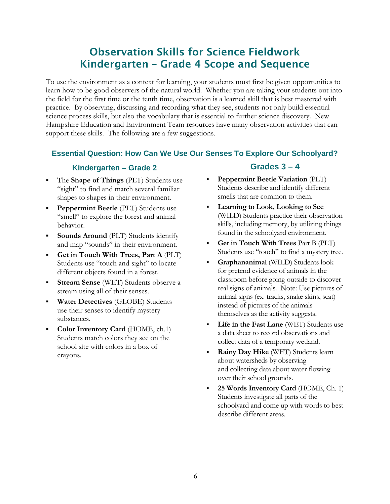# Observation Skills for Science Fieldwork Kindergarten – Grade 4 Scope and Sequence

To use the environment as a context for learning, your students must first be given opportunities to learn how to be good observers of the natural world. Whether you are taking your students out into the field for the first time or the tenth time, observation is a learned skill that is best mastered with practice. By observing, discussing and recording what they see, students not only build essential science process skills, but also the vocabulary that is essential to further science discovery. New Hampshire Education and Environment Team resources have many observation activities that can support these skills. The following are a few suggestions.

# **Essential Question: How Can We Use Our Senses To Explore Our Schoolyard?**

### **Kindergarten – Grade 2**

- The **Shape of Things** (PLT) Students use "sight" to find and match several familiar shapes to shapes in their environment.
- **Peppermint Beetle** (PLT) Students use "smell" to explore the forest and animal behavior.
- **Sounds Around** (PLT) Students identify and map "sounds" in their environment.
- **Get in Touch With Trees, Part A** (PLT) Students use "touch and sight" to locate different objects found in a forest.
- **Stream Sense** (WET) Students observe a stream using all of their senses.
- **Water Detectives** (GLOBE) Students use their senses to identify mystery substances.
- **Color Inventory Card** (HOME, ch.1) Students match colors they see on the school site with colors in a box of crayons.

# **Grades 3 – 4**

- **Peppermint Beetle Variation** (PLT) Students describe and identify different smells that are common to them.
- **Learning to Look, Looking to See** (WILD) Students practice their observation skills, including memory, by utilizing things found in the schoolyard environment.
- **Get in Touch With Trees** Part B (PLT) Students use "touch" to find a mystery tree.
- **Graphananimal** (WILD) Students look for pretend evidence of animals in the classroom before going outside to discover real signs of animals. Note: Use pictures of animal signs (ex. tracks, snake skins, scat) instead of pictures of the animals themselves as the activity suggests.
- **Life in the Fast Lane** (WET) Students use a data sheet to record observations and collect data of a temporary wetland.
- **Rainy Day Hike** *(WET)* Students learn about watersheds by observing and collecting data about water flowing over their school grounds.
- **25 Words Inventory Card** (HOME, Ch. 1) Students investigate all parts of the schoolyard and come up with words to best describe different areas.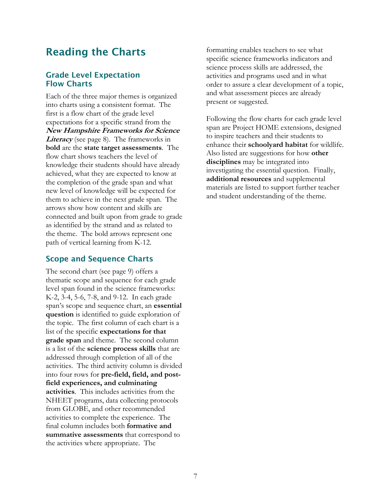# Reading the Charts

### Grade Level Expectation Flow Charts

Each of the three major themes is organized into charts using a consistent format. The first is a flow chart of the grade level expectations for a specific strand from the **New Hampshire Frameworks for Science**  Literacy (see page 8). The frameworks in **bold** are the **state target assessments**. The flow chart shows teachers the level of knowledge their students should have already achieved, what they are expected to know at the completion of the grade span and what new level of knowledge will be expected for them to achieve in the next grade span. The arrows show how content and skills are connected and built upon from grade to grade as identified by the strand and as related to the theme. The bold arrows represent one path of vertical learning from K-12.

### Scope and Sequence Charts

The second chart (see page 9) offers a thematic scope and sequence for each grade level span found in the science frameworks: K-2, 3-4, 5-6, 7-8, and 9-12. In each grade span's scope and sequence chart, an **essential question** is identified to guide exploration of the topic. The first column of each chart is a list of the specific **expectations for that grade span** and theme. The second column is a list of the **science process skills** that are addressed through completion of all of the activities. The third activity column is divided into four rows for **pre-field, field, and postfield experiences, and culminating activities**. This includes activities from the NHEET programs, data collecting protocols from GLOBE, and other recommended activities to complete the experience. The final column includes both **formative and summative assessments** that correspond to the activities where appropriate. The

formatting enables teachers to see what specific science frameworks indicators and science process skills are addressed, the activities and programs used and in what order to assure a clear development of a topic, and what assessment pieces are already present or suggested.

Following the flow charts for each grade level span are Project HOME extensions, designed to inspire teachers and their students to enhance their **schoolyard habitat** for wildlife. Also listed are suggestions for how **other disciplines** may be integrated into investigating the essential question. Finally, **additional resources** and supplemental materials are listed to support further teacher and student understanding of the theme.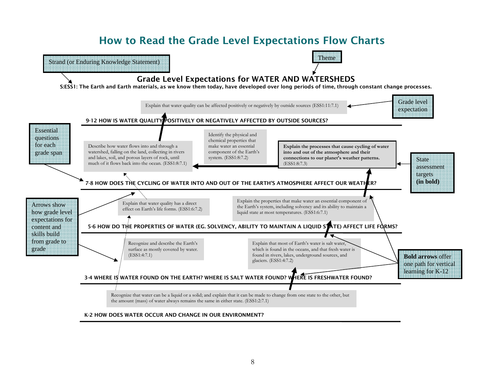# How to Read the Grade Level Expectations Flow Charts

5-6 HOW DO THE PROPERTIES OF WATER (EG. SOLVENCY, ABILITY TO MAINTAIN A LIQUID STATE) AFFECT LIFE FORMS? 7-8 HOW DOES THE CYCLING OF WATER INTO AND OUT OF THE EARTH'S ATMOSPHERE AFFECT OUR WEATHER? 9-12 HOW IS WATER QUALITY POSITIVELY OR NEGATIVELY AFFECTED BY OUTSIDE SOURCES? 3-4 WHERE IS WATER FOUND ON THE EARTH? WHERE IS SALT WATER FOUND? WHERE IS FRESHWATER FOUND? Recognize and describe the Earth's surface as mostly covered by water. (ESS1:4:7.1) Describe how water flows into and through a watershed, falling on the land, collecting in rivers and lakes, soil, and porous layers of rock, until much of it flows back into the ocean. (ESS1:8:7.1) Explain that most of Earth's water is salt water which is found in the oceans, and that fresh water is found in rivers, lakes, underground sources, and glaciers. (ESS1:4:7.2) Explain the properties that make water an essential component of the Earth's system, including solvency and its ability to maintain a liquid state at most temperatures. (ESS1:6:7.1) **Explain the processes that cause cycling of water into and out of the atmosphere and their connections to our planet's weather patterns.**  (ESS1:8:7.3) Explain that water quality has a direct effect on Earth's life forms. (ESS1:6:7.2) Identify the physical and chemical properties that make water an essential component of the Earth's system. (ESS1:8:7.2) Explain that water quality can be affected positively or negatively by outside sources (ESS1:11:7.1) Recognize that water can be a liquid or a solid; and explain that it can be made to change from one state to the other, but the amount (mass) of water always remains the same in either state. (ESS1:2:7.1) Grade Level Expectations for WATER AND WATERSHEDS S:ESS1: The Earth and Earth materials, as we know them today, have developed over long periods of time, through constant change processes. Grade level expectation Strand (or Enduring Knowledge Statement) Arrows show how grade level expectations for content and skills build from grade to grade State assessment targets **(in bold) Bold arrows** offer one path for vertical learning for K-12 **Essential** questions for each grade span Theme

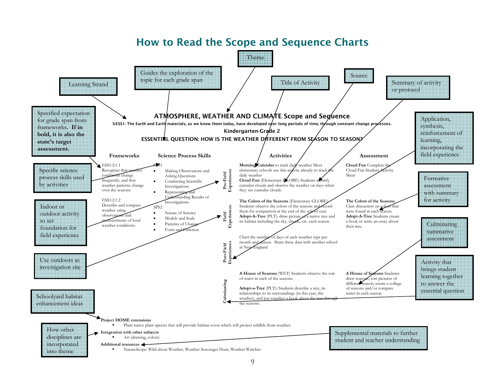

#### 9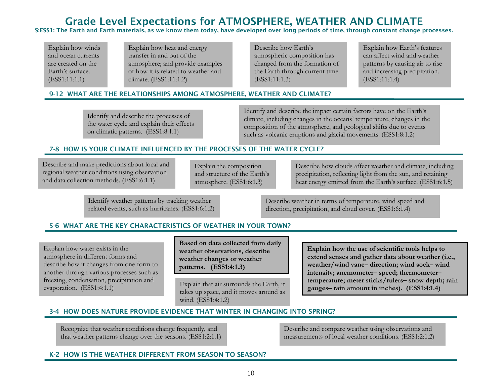# Grade Level Expectations for ATMOSPHERE, WEATHER AND CLIMATE

S:ESS1: The Earth and Earth materials, as we know them today, have develo ped over lon g periods of time, throu gh constant chan ge processes.

Explain how winds and ocean currents are created on the Earth's surface. (ESS1:11:1.1)

Explain how heat and energy transfer in and out of the atmosphere; and provide examples of how it is related to weather and climate. (ESS1:11:1.2)

Describe how Earth's atmospheric composition has changed from the formation of the Earth through current time. (ESS1:11:1.3)

Explain how Earth's features can affect wind and weather patterns by causing air to rise and increasing precipitation. (ESS1:11:1.4)

#### 9-12 WHAT ARE THE RELATIONSHIPS AMONG ATMOSPHERE, WEATHER AND CLIMATE?

Identify and describe the processes of the water cycle and explain their effects on climatic patterns. (ESS1:8:1.1)

Identify and describe the impact certain factors have on the Earth's climate, including changes in the oceans' temperature, changes in the composition of the atmosphere, and geological shifts due to events such as volcanic eruptions and glacial movements. (ESS1:8:1.2)

### 7-8 HOW IS YOUR CLIMATE INFLUENCED BY THE PROCESSES OF THE WATER CYCLE?

Describe and make predictions about local and regional weather conditions using observation and data collection methods. (ESS1:6:1.1)

Explain the composition and structure of the Earth's atmosphere. (ESS1:6:1.3)

Describe how clouds affect weather and climate, including precipitation, reflecting light from the sun, and retaining heat energy emitted from the Earth's surface. (ESS1:6:1.5)

Identify weather patterns by tracking weather related events, such as hurricanes. (ESS1:6:1.2)

Describe weather in terms of temperature, wind speed and direction, precipitation, and cloud cover. (ESS1:6:1.4)

### 5-6 WHAT ARE THE KEY CHARACTERISTICS OF WEATHER IN YOUR TOWN?

Explain how water exists in the atmosphere in different forms and describe how it changes from one form to another through various processes such as freezing, condensation, precipitation and evaporation. (ESS1:4:1.1)

**Based on data collected from daily weather observations, describe weather changes or weather patterns. (ESS1:4:1.3)**

Explain that air surrounds the Earth, it takes up space, and it moves around as wind. (ESS1:4:1.2)

**Explain how the use of scientific tools helps to extend senses and gather data about weather (i.e., weather/wind vane– direction; wind sock– wind intensity; anemometer– speed; thermometer– temperature; meter sticks/rulers– snow depth; rain gauges– rain amount in inches). (ESS1:4:1.4)** 

### 3-4 HOW DOES NATURE PROVIDE EVIDENCE THAT WINTER IN CHANGING INTO SPRING?

Recognize that weather conditions change frequently, and that weather patterns change over the seasons. (ESS1:2:1.1) Describe and compare weather using observations and measurements of local weather conditions. (ESS1:2:1.2)

#### K-2 HOW IS THE WEATHER DIFFERENT FROM SEASON TO SEASON?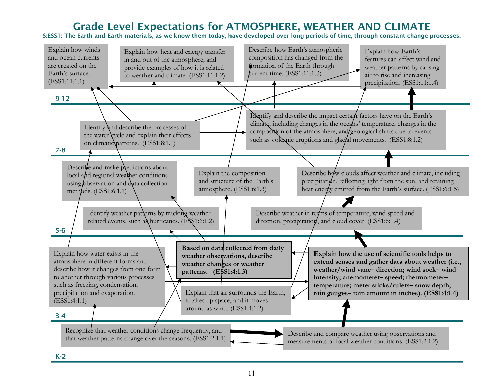# Grade Level Expectations for ATMOSPHERE, WEATHER AND CLIMATE

S:ESS1: The Earth and Earth materials, as we know them today, have developed over long periods of time, through constant change processes.



K-2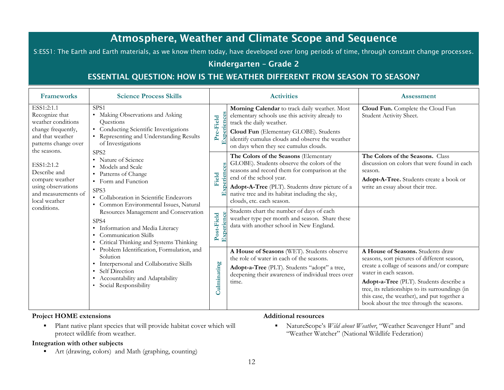# Atmosphere, Weather and Climate Scope and Sequence

S:ESS1: The Earth and Earth materials, as we know them today, have developed over long periods of time, through constant change processes.

### Kindergarten – Grade 2

# ESSENTIAL QUESTION: HOW IS THE WEATHER DIFFERENT FROM SEASON TO SEASON?

| <b>Frameworks</b>                                                                                                                    | <b>Science Process Skills</b>                                                                                                                                                                             |             | <b>Activities</b>                                                                                                                                                                                                                                                                                | <b>Assessment</b>                                                                                                                                                                                                                                                                                                                                |
|--------------------------------------------------------------------------------------------------------------------------------------|-----------------------------------------------------------------------------------------------------------------------------------------------------------------------------------------------------------|-------------|--------------------------------------------------------------------------------------------------------------------------------------------------------------------------------------------------------------------------------------------------------------------------------------------------|--------------------------------------------------------------------------------------------------------------------------------------------------------------------------------------------------------------------------------------------------------------------------------------------------------------------------------------------------|
| ESS1:2:1.1<br>Recognize that<br>weather conditions<br>change frequently,<br>and that weather<br>patterns change over<br>the seasons. | SPS1<br>• Making Observations and Asking<br>Questions<br>Conducting Scientific Investigations<br>• Representing and Understanding Results<br>of Investigations                                            | Pre-Field   | Morning Calendar to track daily weather. Most<br>elementary schools use this activity already to<br>track the daily weather.<br>Cloud Fun (Elementary GLOBE). Students<br>identify cumulus clouds and observe the weather<br>on days when they see cumulus clouds.                               | Cloud Fun. Complete the Cloud Fun<br>Student Activity Sheet.                                                                                                                                                                                                                                                                                     |
| ESS1:2:1.2<br>Describe and<br>compare weather<br>using observations<br>and measurements of<br>local weather                          | SPS <sub>2</sub><br>• Nature of Science<br>• Models and Scale<br>• Patterns of Change<br>• Form and Function<br>SPS3<br>• Collaboration in Scientific Endeavors<br>• Common Environmental Issues, Natural | Field       | The Colors of the Seasons (Elementary<br>GLOBE). Students observe the colors of the<br>seasons and record them for comparison at the<br>end of the school year.<br>Adopt-A-Tree (PLT). Students draw picture of a<br>native tree and its habitat including the sky,<br>clouds, etc. each season. | The Colors of the Seasons. Class<br>discussion on colors that were found in each<br>season.<br>Adopt-A-Tree. Students create a book or<br>write an essay about their tree.                                                                                                                                                                       |
| conditions.                                                                                                                          | Resources Management and Conservation<br>SPS4<br>• Information and Media Literacy<br><b>Communication Skills</b><br>$\bullet$<br>Critical Thinking and Systems Thinking                                   | Post-Field  | Students chart the number of days of each<br>weather type per month and season. Share these<br>data with another school in New England.                                                                                                                                                          |                                                                                                                                                                                                                                                                                                                                                  |
|                                                                                                                                      | · Problem Identification, Formulation, and<br>Solution<br>• Interpersonal and Collaborative Skills<br>• Self Direction<br>• Accountability and Adaptability<br>• Social Responsibility                    | Culminating | A House of Seasons (WET). Students observe<br>the role of water in each of the seasons.<br>Adopt-a-Tree (PLT). Students "adopt" a tree,<br>deepening their awareness of individual trees over<br>time.                                                                                           | A House of Seasons. Students draw<br>seasons, sort pictures of different season,<br>create a collage of seasons and/or compare<br>water in each season.<br>Adopt-a-Tree (PLT). Students describe a<br>tree, its relationships to its surroundings (in<br>this case, the weather), and put together a<br>book about the tree through the seasons. |

### **Project HOME extensions**

 $\blacksquare$  Plant native plant species that will provide habitat cover which will protect wildlife from weather.

#### **Additional resources**

 $\mathbf{u}$  .

#### **Integration with other subjects**

 $\blacksquare$ Art (drawing, colors) and Math (graphing, counting)  NatureScope's *Wild about Weather*, "Weather Scavenger Hunt" and "Weather Watcher" (National Wildlife Federation)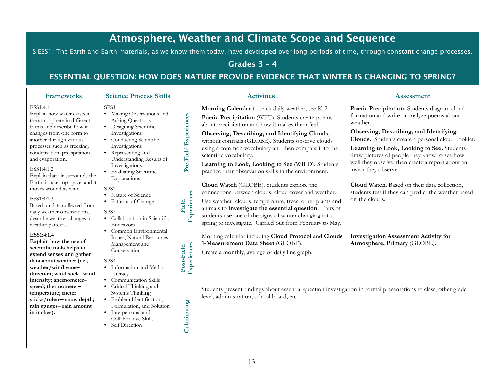# Atmosphere, Weather and Climate Scope and Sequence

S:ESS1: The Earth and Earth materials, as we know them today, have developed over long periods of time, through constant change processes.

# Grades 3 – 4

# ESSENTIAL QUESTION: HOW DOES NATURE PROVIDE EVIDENCE THAT WINTER IS CHANGING TO SPRING?

| <b>Frameworks</b>                                                                                                                                                                                                                                                                              | <b>Science Process Skills</b>                                                                                                                                                                                                                                             |                       | <b>Activities</b>                                                                                                                                                                                                                                                                                                                                                                                                                                                 | <b>Assessment</b>                                                                                                                                                                                                                                                                                                                                                               |                                                                              |
|------------------------------------------------------------------------------------------------------------------------------------------------------------------------------------------------------------------------------------------------------------------------------------------------|---------------------------------------------------------------------------------------------------------------------------------------------------------------------------------------------------------------------------------------------------------------------------|-----------------------|-------------------------------------------------------------------------------------------------------------------------------------------------------------------------------------------------------------------------------------------------------------------------------------------------------------------------------------------------------------------------------------------------------------------------------------------------------------------|---------------------------------------------------------------------------------------------------------------------------------------------------------------------------------------------------------------------------------------------------------------------------------------------------------------------------------------------------------------------------------|------------------------------------------------------------------------------|
| ESS1:4:1.1<br>Explain how water exists in<br>the atmosphere in different<br>forms and describe how it<br>changes from one form to<br>another through various<br>processes such as freezing,<br>condensation, precipitation<br>and evaporation.<br>ESS1:4:1.2<br>Explain that air surrounds the | SPS <sub>1</sub><br>• Making Observations and<br>Asking Questions<br>• Designing Scientific<br>Investigations<br>• Conducting Scientific<br>Investigations<br>• Representing and<br>Understanding Results of<br>Investigations<br>• Evaluating Scientific<br>Explanations | Pre-Field Experiences | Morning Calendar to track daily weather, see K-2.<br>Poetic Precipitation (WET). Students create poems<br>about precipitation and how it makes them feel.<br>Observing, Describing, and Identifying Clouds,<br>without contrails (GLOBE). Students observe clouds<br>using a common vocabulary and then compare it to the<br>scientific vocabulary.<br>Learning to Look, Looking to See (WILD). Students<br>practice their observation skills in the environment. | Poetic Precipitation. Students diagram cloud<br>formation and write or analyze poems about<br>weather.<br>Observing, Describing, and Identifying<br>Clouds. Students create a personal cloud booklet.<br>Learning to Look, Looking to See. Students<br>draw pictures of people they know to see how<br>well they observe, then create a report about an<br>insect they observe. |                                                                              |
| Earth, it takes up space, and it<br>moves around as wind.<br>ESS1:4:1.3<br>Based on data collected from<br>daily weather observations,<br>describe weather changes or<br>weather patterns.                                                                                                     | SPS <sub>2</sub><br>• Nature of Science<br>• Patterns of Change<br>SPS3<br>• Collaboration in Scientific<br>Endeavors                                                                                                                                                     | Experiences<br>Field  | Cloud Watch (GLOBE). Students explore the<br>connections between clouds, cloud cover and weather.<br>Use weather, clouds, temperature, trees, other plants and<br>animals to investigate the essential question. Pairs of<br>students use one of the signs of winter changing into<br>spring to investigate. Carried out from February to May.                                                                                                                    | Cloud Watch. Based on their data collection,<br>students test if they can predict the weather based<br>on the clouds.                                                                                                                                                                                                                                                           |                                                                              |
| ESS1:4:1.4<br>Explain how the use of<br>scientific tools helps to<br>extend senses and gather<br>data about weather (i.e.,<br>weather/wind vane-<br>direction; wind sock-wind<br>intensity; anemometer-                                                                                        | • Common Environmental<br>Issues, Natural Resources<br>Management and<br>Conservation<br>SPS4<br>· Information and Media<br>Literacy<br>• Communication Skills                                                                                                            | Post-Field            | Experiences                                                                                                                                                                                                                                                                                                                                                                                                                                                       | Morning calendar including Cloud Protocol and Clouds<br>1-Measurement Data Sheet (GLOBE).<br>Create a monthly, average or daily line graph.                                                                                                                                                                                                                                     | <b>Investigation Assessment Activity for</b><br>Atmosphere, Primary (GLOBE). |
| speed; thermometer-<br>temperature; meter<br>sticks/rulers-snow depth;<br>rain gauges-rain amount<br>in inches).                                                                                                                                                                               | • Critical Thinking and<br>Systems Thinking<br>• Problem Identification,<br>Formulation, and Solution<br>• Interpersonal and<br>Collaborative Skills<br>• Self Direction                                                                                                  | Culminating           | Students present findings about essential question investigation in formal presentations to class, other grade<br>level, administration, school board, etc.                                                                                                                                                                                                                                                                                                       |                                                                                                                                                                                                                                                                                                                                                                                 |                                                                              |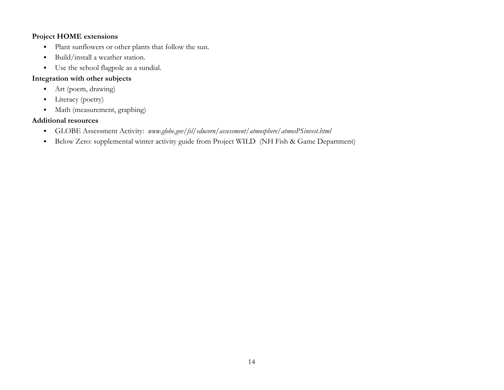- $\blacksquare$ Plant sunflowers or other plants that follow the sun.
- $\blacksquare$ Build/install a weather station.
- Use the school flagpole as a sundial.

### **Integration with other subjects**

- Art (poem, drawing)
- Literacy (poetry)
- Math (measurement, graphing)

- $\blacksquare$ GLOBE Assessment Activity: *www.globe.gov/fsl/educorn/assessment/atmosphere/atmosPSinvest.html*
- Below Zero: supplemental winter activity guide from Project WILD (NH Fish & Game Department)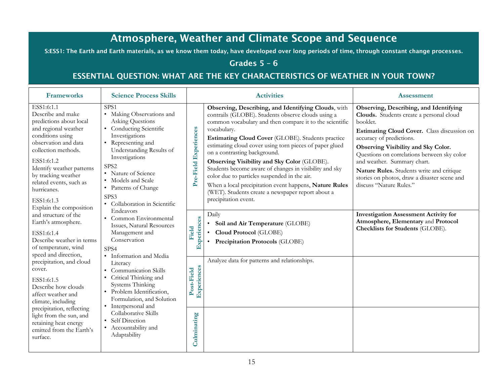# Atmosphere, Weather and Climate Scope and Sequence

S:ESS1: The Earth and Earth materials, as we know them today, have developed over long periods of time, through constant change processes.

# Grades 5 – 6

# ESSENTIAL QUESTION: WHAT ARE THE KEY CHARACTERISTICS OF WEATHER IN YOUR TOWN?

| <b>Frameworks</b>                                                                                                                                                                                                                                                                                          | <b>Science Process Skills</b>                                                                                                                                                                                                                                                                                               | <b>Activities</b>                                                                                                                                                                                                                                                                                                                                                                                                                                                                                                                                                                                                                                            | <b>Assessment</b>                                                                                                                                                                                                                                                                                                                                                                                                      |
|------------------------------------------------------------------------------------------------------------------------------------------------------------------------------------------------------------------------------------------------------------------------------------------------------------|-----------------------------------------------------------------------------------------------------------------------------------------------------------------------------------------------------------------------------------------------------------------------------------------------------------------------------|--------------------------------------------------------------------------------------------------------------------------------------------------------------------------------------------------------------------------------------------------------------------------------------------------------------------------------------------------------------------------------------------------------------------------------------------------------------------------------------------------------------------------------------------------------------------------------------------------------------------------------------------------------------|------------------------------------------------------------------------------------------------------------------------------------------------------------------------------------------------------------------------------------------------------------------------------------------------------------------------------------------------------------------------------------------------------------------------|
| ESS1:6:1.1<br>Describe and make<br>predictions about local<br>and regional weather<br>conditions using<br>observation and data<br>collection methods.<br>ESS1:6:1.2<br>Identify weather patterns<br>by tracking weather<br>related events, such as<br>hurricanes.<br>ESS1:6:1.3<br>Explain the composition | SPS <sub>1</sub><br>• Making Observations and<br><b>Asking Questions</b><br>• Conducting Scientific<br>Investigations<br>• Representing and<br>Understanding Results of<br>Investigations<br>SPS <sub>2</sub><br>• Nature of Science<br>• Models and Scale<br>• Patterns of Change<br>SPS3<br>• Collaboration in Scientific | Observing, Describing, and Identifying Clouds, with<br>contrails (GLOBE). Students observe clouds using a<br>common vocabulary and then compare it to the scientific<br>Pre-Field Experiences<br>vocabulary.<br>Estimating Cloud Cover (GLOBE). Students practice<br>estimating cloud cover using torn pieces of paper glued<br>on a contrasting background.<br>Observing Visibility and Sky Color (GLOBE).<br>Students become aware of changes in visibility and sky<br>color due to particles suspended in the air.<br>When a local precipitation event happens, Nature Rules<br>(WET). Students create a newspaper report about a<br>precipitation event. | Observing, Describing, and Identifying<br>Clouds. Students create a personal cloud<br>booklet.<br>Estimating Cloud Cover. Class discussion on<br>accuracy of predictions.<br>Observing Visibility and Sky Color.<br>Questions on correlations between sky color<br>and weather. Summary chart.<br>Nature Rules. Students write and critique<br>stories on photos, draw a disaster scene and<br>discuss "Nature Rules." |
| and structure of the<br>Earth's atmosphere.<br>ESS1:6:1.4<br>Describe weather in terms<br>of temperature, wind<br>speed and direction,                                                                                                                                                                     | Endeavors<br>• Common Environmental<br>Issues, Natural Resources<br>Management and<br>Conservation<br>SPS4                                                                                                                                                                                                                  | Daily<br>Experiences<br>Soil and Air Temperature (GLOBE)<br>$\bullet$<br>Field<br>Cloud Protocol (GLOBE)<br>Precipitation Protocols (GLOBE)                                                                                                                                                                                                                                                                                                                                                                                                                                                                                                                  | <b>Investigation Assessment Activity for</b><br>Atmosphere, Elementary and Protocol<br>Checklists for Students (GLOBE).                                                                                                                                                                                                                                                                                                |
| precipitation, and cloud<br>cover.<br>ESS1:6:1.5<br>Describe how clouds<br>affect weather and<br>climate, including                                                                                                                                                                                        | • Information and Media<br>Literacy<br>Communication Skills<br>Critical Thinking and<br>Systems Thinking<br>· Problem Identification,<br>Formulation, and Solution<br>• Interpersonal and                                                                                                                                   | Analyze data for patterns and relationships.<br>Experiences<br>Post-Field                                                                                                                                                                                                                                                                                                                                                                                                                                                                                                                                                                                    |                                                                                                                                                                                                                                                                                                                                                                                                                        |
| precipitation, reflecting<br>light from the sun, and<br>retaining heat energy<br>emitted from the Earth's<br>surface.                                                                                                                                                                                      | Collaborative Skills<br>• Self Direction<br>• Accountability and<br>Adaptability                                                                                                                                                                                                                                            | Culminating                                                                                                                                                                                                                                                                                                                                                                                                                                                                                                                                                                                                                                                  |                                                                                                                                                                                                                                                                                                                                                                                                                        |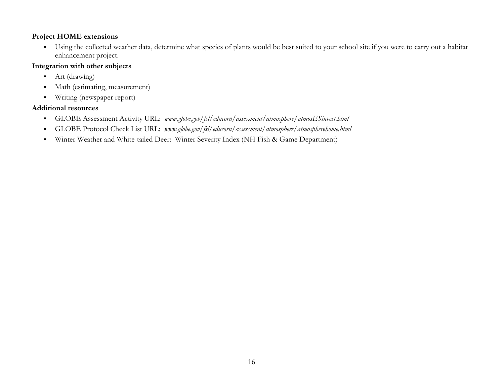Using the collected weather data, determine what species of plants would be best suited to your school site if you were to carry out a habitat enhancement project.

### **Integration with other subjects**

- $\blacksquare$ Art (drawing)
- $\blacksquare$ Math (estimating, measurement)
- $\blacksquare$ Writing (newspaper report)

- $\blacksquare$ GLOBE Assessment Activity URL: *www.globe.gov/fsl/educorn/assessment/atmosphere/atmosESinvest.html*
- $\blacksquare$ GLOBE Protocol Check List URL: *www.globe.gov/fsl/educorn/assessment/atmosphere/atmospherehome.html*
- $\blacksquare$ Winter Weather and White-tailed Deer: Winter Severity Index (NH Fish & Game Department)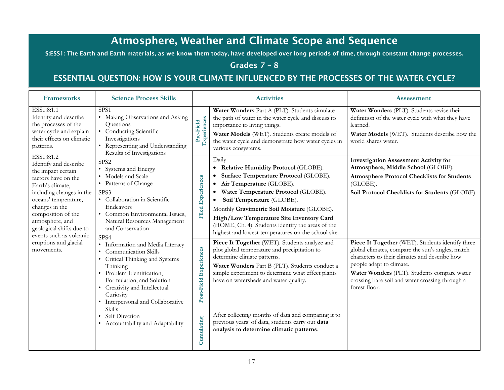# Atmosphere, Weather and Climate Scope and Sequence

S:ESS1: The Earth and Earth materials, as we know them today, have developed over long periods of time, through constant change processes.

# Grades 7 – 8

# ESSENTIAL QUESTION: HOW IS YOUR CLIMATE INFLUENCED BY THE PROCESSES OF THE WATER CYCLE?

| <b>Frameworks</b>                                                                                                                                                                                                                                                          | <b>Science Process Skills</b>                                                                                                                                                                                                                                    |                          | <b>Activities</b>                                                                                                                                                                                                                                                                                                                                                                                          | <b>Assessment</b>                                                                                                                                                                                                                                                                                    |
|----------------------------------------------------------------------------------------------------------------------------------------------------------------------------------------------------------------------------------------------------------------------------|------------------------------------------------------------------------------------------------------------------------------------------------------------------------------------------------------------------------------------------------------------------|--------------------------|------------------------------------------------------------------------------------------------------------------------------------------------------------------------------------------------------------------------------------------------------------------------------------------------------------------------------------------------------------------------------------------------------------|------------------------------------------------------------------------------------------------------------------------------------------------------------------------------------------------------------------------------------------------------------------------------------------------------|
| ESS1:8:1.1<br>Identify and describe<br>the processes of the<br>water cycle and explain<br>their effects on climatic<br>patterns.                                                                                                                                           | SPS1<br>• Making Observations and Asking<br>Questions<br>• Conducting Scientific<br>Investigations<br>• Representing and Understanding<br>Results of Investigations                                                                                              | Experiences<br>Pre-Field | Water Wonders Part A (PLT). Students simulate<br>the path of water in the water cycle and discuss its<br>importance to living things.<br>Water Models (WET). Students create models of<br>the water cycle and demonstrate how water cycles in<br>various ecosystems.                                                                                                                                       | Water Wonders (PLT). Students revise their<br>definition of the water cycle with what they have<br>learned.<br>Water Models (WET). Students describe how the<br>world shares water.                                                                                                                  |
| ESS1:8:1.2<br>Identify and describe<br>the impact certain<br>factors have on the<br>Earth's climate,<br>including changes in the<br>oceans' temperature,<br>changes in the<br>composition of the<br>atmosphere, and<br>geological shifts due to<br>events such as volcanic | SPS <sub>2</sub><br>• Systems and Energy<br>• Models and Scale<br>• Patterns of Change<br>SPS3<br>• Collaboration in Scientific<br>Endeavors<br>• Common Environmental Issues,<br>Natural Resources Management<br>and Conservation<br>SPS4                       | <b>Filed Experiences</b> | Daily<br>• Relative Humidity Protocol (GLOBE).<br>Surface Temperature Protocol (GLOBE).<br>Air Temperature (GLOBE).<br>$\bullet$<br>Water Temperature Protocol (GLOBE).<br>Soil Temperature (GLOBE).<br>Monthly Gravimetric Soil Moisture (GLOBE).<br>High/Low Temperature Site Inventory Card<br>(HOME, Ch. 4). Students identify the areas of the<br>highest and lowest temperatures on the school site. | <b>Investigation Assessment Activity for</b><br>Atmosphere, Middle School (GLOBE).<br><b>Atmosphere Protocol Checklists for Students</b><br>(GLOBE).<br>Soil Protocol Checklists for Students (GLOBE).                                                                                               |
| eruptions and glacial<br>movements.                                                                                                                                                                                                                                        | • Information and Media Literacy<br>• Communication Skills<br>• Critical Thinking and Systems<br>Thinking<br>· Problem Identification,<br>Formulation, and Solution<br>• Creativity and Intellectual<br>Curiosity<br>• Interpersonal and Collaborative<br>Skills | Post-Field Experiences   | Piece It Together (WET). Students analyze and<br>plot global temperature and precipitation to<br>determine climate patterns.<br>Water Wonders Part B (PLT). Students conduct a<br>simple experiment to determine what effect plants<br>have on watersheds and water quality.                                                                                                                               | Piece It Together (WET). Students identify three<br>global climates, compare the sun's angles, match<br>characters to their climates and describe how<br>people adapt to climate.<br>Water Wonders (PLT). Students compare water<br>crossing bare soil and water crossing through a<br>forest floor. |
|                                                                                                                                                                                                                                                                            | Self Direction<br>• Accountability and Adaptability                                                                                                                                                                                                              | Cumulating               | After collecting months of data and comparing it to<br>previous years' of data, students carry out data<br>analysis to determine climatic patterns.                                                                                                                                                                                                                                                        |                                                                                                                                                                                                                                                                                                      |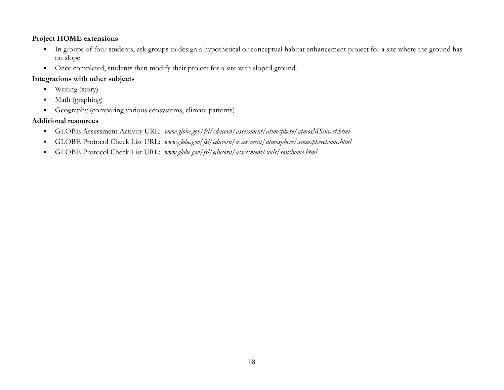- In groups of four students, ask groups to design a hypothetical or conceptual habitat enhancement project for a site where the ground has no slope.
- Once completed, students then modify their project for a site with sloped ground.

### **Integrations with other subjects**

- $\blacksquare$ Writing (story)
- $\blacksquare$ Math (graphing)
- $\blacksquare$ Geography (comparing various ecosystems, climate patterns)

- $\blacksquare$ GLOBE Assessment Activity URL: *www.globe.gov/fsl/educorn/assessment/atmosphere/atmosMSinvest.html*
- $\blacksquare$ GLOBE Protocol Check List URL: *www.globe.gov/fsl/educorn/assessment/atmosphere/atmospherehome.html*
- $\blacksquare$ GLOBE Protocol Check List URL: *www.globe.gov/fsl/educorn/assessment/soils/soilshome.html*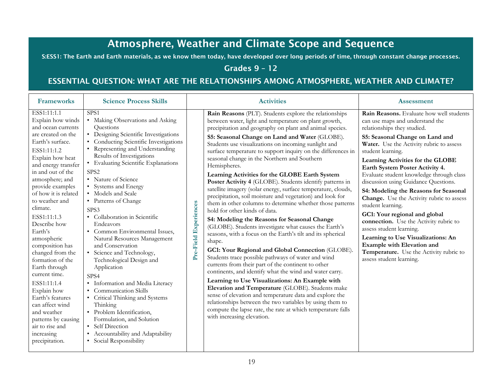# Atmosphere, Weather and Climate Scope and Sequence

S:ESS1: The Earth and Earth materials, as we know them today, have developed over long periods of time, through constant change processes.

### Grades 9 – 12

# ESSENTIAL QUESTION: WHAT ARE THE RELATIONSHIPS AMONG ATMOSPHERE, WEATHER AND CLIMATE?

| <b>Frameworks</b>                                                                                                                                                                                                                                                                                                                                                                                                                                                                                                                                                                                | <b>Science Process Skills</b>                                                                                                                                                                                                                                                                                                                                                                                                                                                                                                                                                                                                                                                                                                                                                                                                                                                       |                       | <b>Activities</b>                                                                                                                                                                                                                                                                                                                                                                                                                                                                                                                                                                                                                                                                                                                                                                                                                                                                                                                                                                                                                                                                                                                                                                                                                                                                                                                                                                                                                                                                                        | <b>Assessment</b>                                                                                                                                                                                                                                                                                                                                                                                                                                                                                                                                                                                                                                                                                                                       |
|--------------------------------------------------------------------------------------------------------------------------------------------------------------------------------------------------------------------------------------------------------------------------------------------------------------------------------------------------------------------------------------------------------------------------------------------------------------------------------------------------------------------------------------------------------------------------------------------------|-------------------------------------------------------------------------------------------------------------------------------------------------------------------------------------------------------------------------------------------------------------------------------------------------------------------------------------------------------------------------------------------------------------------------------------------------------------------------------------------------------------------------------------------------------------------------------------------------------------------------------------------------------------------------------------------------------------------------------------------------------------------------------------------------------------------------------------------------------------------------------------|-----------------------|----------------------------------------------------------------------------------------------------------------------------------------------------------------------------------------------------------------------------------------------------------------------------------------------------------------------------------------------------------------------------------------------------------------------------------------------------------------------------------------------------------------------------------------------------------------------------------------------------------------------------------------------------------------------------------------------------------------------------------------------------------------------------------------------------------------------------------------------------------------------------------------------------------------------------------------------------------------------------------------------------------------------------------------------------------------------------------------------------------------------------------------------------------------------------------------------------------------------------------------------------------------------------------------------------------------------------------------------------------------------------------------------------------------------------------------------------------------------------------------------------------|-----------------------------------------------------------------------------------------------------------------------------------------------------------------------------------------------------------------------------------------------------------------------------------------------------------------------------------------------------------------------------------------------------------------------------------------------------------------------------------------------------------------------------------------------------------------------------------------------------------------------------------------------------------------------------------------------------------------------------------------|
| ESS1:11:1.1<br>Explain how winds<br>and ocean currents<br>are created on the<br>Earth's surface.<br>ESS1:11:1.2<br>Explain how heat<br>and energy transfer<br>in and out of the<br>atmosphere; and<br>provide examples<br>of how it is related<br>to weather and<br>climate.<br>ESS1:11:1.3<br>Describe how<br>Earth's<br>atmospheric<br>composition has<br>changed from the<br>formation of the<br>Earth through<br>current time.<br>ESS1:11:1.4<br>Explain how<br>Earth's features<br>can affect wind<br>and weather<br>patterns by causing<br>air to rise and<br>increasing<br>precipitation. | SPS <sub>1</sub><br>• Making Observations and Asking<br>Questions<br>• Designing Scientific Investigations<br>• Conducting Scientific Investigations<br>• Representing and Understanding<br>Results of Investigations<br>• Evaluating Scientific Explanations<br>SPS <sub>2</sub><br>• Nature of Science<br>• Systems and Energy<br>• Models and Scale<br>• Patterns of Change<br>SPS3<br>• Collaboration in Scientific<br>Endeavors<br>• Common Environmental Issues,<br>Natural Resources Management<br>and Conservation<br>• Science and Technology,<br>Technological Design and<br>Application<br>SPS4<br>· Information and Media Literacy<br><b>Communication Skills</b><br>$\bullet$<br>• Critical Thinking and Systems<br>Thinking<br>· Problem Identification,<br>Formulation, and Solution<br>• Self Direction<br>Accountability and Adaptability<br>Social Responsibility | Pre-Field Experiences | Rain Reasons (PLT). Students explore the relationships<br>between water, light and temperature on plant growth,<br>precipitation and geography on plant and animal species.<br>S5: Seasonal Change on Land and Water (GLOBE).<br>Students use visualizations on incoming sunlight and<br>surface temperature to support inquiry on the differences in<br>seasonal change in the Northern and Southern<br>Hemispheres.<br>Learning Activities for the GLOBE Earth System<br>Poster Activity 4 (GLOBE). Students identify patterns in<br>satellite imagery (solar energy, surface temperature, clouds,<br>precipitation, soil moisture and vegetation) and look for<br>them in other columns to determine whether those patterns<br>hold for other kinds of data.<br>S4: Modeling the Reasons for Seasonal Change<br>(GLOBE). Students investigate what causes the Earth's<br>seasons, with a focus on the Earth's tilt and its spherical<br>shape.<br>GC1: Your Regional and Global Connection (GLOBE).<br>Students trace possible pathways of water and wind<br>currents from their part of the continent to other<br>continents, and identify what the wind and water carry.<br>Learning to Use Visualizations: An Example with<br>Elevation and Temperature (GLOBE). Students make<br>sense of elevation and temperature data and explore the<br>relationships between the two variables by using them to<br>compute the lapse rate, the rate at which temperature falls<br>with increasing elevation. | Rain Reasons. Evaluate how well students<br>can use maps and understand the<br>relationships they studied.<br>S5: Seasonal Change on Land and<br>Water. Use the Activity rubric to assess<br>student learning.<br>Learning Activities for the GLOBE<br>Earth System Poster Activity 4.<br>Evaluate student knowledge through class<br>discussion using Guidance Questions.<br>S4: Modeling the Reasons for Seasonal<br>Change. Use the Activity rubric to assess<br>student learning.<br>GC1: Your regional and global<br>connection. Use the Activity rubric to<br>assess student learning.<br>Learning to Use Visualizations: An<br>Example with Elevation and<br>Temperature. Use the Activity rubric to<br>assess student learning. |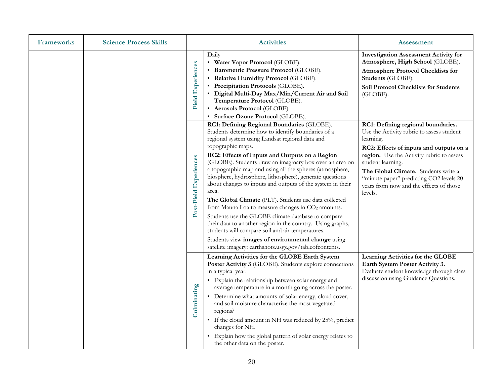| <b>Frameworks</b> | <b>Science Process Skills</b> |                          | <b>Activities</b>                                                                                                                                                                                                                                                                                                                                                                                                                                                                                                                                                                                                                                                                                                                                                                                                                                                                                       | <b>Assessment</b>                                                                                                                                                                                                                                                                                                                                  |
|-------------------|-------------------------------|--------------------------|---------------------------------------------------------------------------------------------------------------------------------------------------------------------------------------------------------------------------------------------------------------------------------------------------------------------------------------------------------------------------------------------------------------------------------------------------------------------------------------------------------------------------------------------------------------------------------------------------------------------------------------------------------------------------------------------------------------------------------------------------------------------------------------------------------------------------------------------------------------------------------------------------------|----------------------------------------------------------------------------------------------------------------------------------------------------------------------------------------------------------------------------------------------------------------------------------------------------------------------------------------------------|
|                   |                               | <b>Field Experiences</b> | Daily<br>• Water Vapor Protocol (GLOBE).<br>• Barometric Pressure Protocol (GLOBE).<br>• Relative Humidity Protocol (GLOBE).<br>• Precipitation Protocols (GLOBE).<br>• Digital Multi-Day Max/Min/Current Air and Soil<br>Temperature Protocol (GLOBE).<br>• Aerosols Protocol (GLOBE).<br>• Surface Ozone Protocol (GLOBE).                                                                                                                                                                                                                                                                                                                                                                                                                                                                                                                                                                            | <b>Investigation Assessment Activity for</b><br>Atmosphere, High School (GLOBE).<br><b>Atmosphere Protocol Checklists for</b><br>Students (GLOBE).<br>Soil Protocol Checklists for Students<br>(GLOBE).                                                                                                                                            |
|                   |                               | Post-Field Experiences   | RC1: Defining Regional Boundaries (GLOBE).<br>Students determine how to identify boundaries of a<br>regional system using Landsat regional data and<br>topographic maps.<br>RC2: Effects of Inputs and Outputs on a Region<br>(GLOBE). Students draw an imaginary box over an area on<br>a topographic map and using all the spheres (atmosphere,<br>biosphere, hydrosphere, lithosphere), generate questions<br>about changes to inputs and outputs of the system in their<br>area.<br>The Global Climate (PLT). Students use data collected<br>from Mauna Loa to measure changes in CO <sub>2</sub> amounts.<br>Students use the GLOBE climate database to compare<br>their data to another region in the country. Using graphs,<br>students will compare soil and air temperatures.<br>Students view images of environmental change using<br>satellite imagery: earthshots.usgs.gov/tableofcontents. | RC1: Defining regional boundaries.<br>Use the Activity rubric to assess student<br>learning.<br>RC2: Effects of inputs and outputs on a<br>region. Use the Activity rubric to assess<br>student learning.<br>The Global Climate. Students write a<br>"minute paper" predicting CO2 levels 20<br>years from now and the effects of those<br>levels. |
|                   |                               | Culminating              | Learning Activities for the GLOBE Earth System<br>Poster Activity 3 (GLOBE). Students explore connections<br>in a typical year.<br>• Explain the relationship between solar energy and<br>average temperature in a month going across the poster.<br>• Determine what amounts of solar energy, cloud cover,<br>and soil moisture characterize the most vegetated<br>regions?<br>• If the cloud amount in NH was reduced by 25%, predict<br>changes for NH.<br>• Explain how the global pattern of solar energy relates to<br>the other data on the poster.                                                                                                                                                                                                                                                                                                                                              | Learning Activities for the GLOBE<br>Earth System Poster Activity 3.<br>Evaluate student knowledge through class<br>discussion using Guidance Questions.                                                                                                                                                                                           |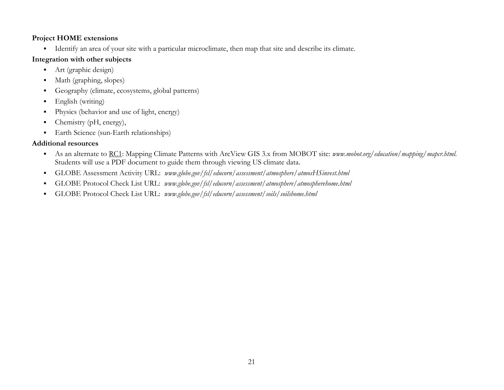Identify an area of your site with a particular microclimate, then map that site and describe its climate.

### **Integration with other subjects**

- $\blacksquare$ Art (graphic design)
- $\blacksquare$ Math (graphing, slopes)
- $\blacksquare$ Geography (climate, ecosystems, global patterns)
- $\blacksquare$ English (writing)
- $\blacksquare$ Physics (behavior and use of light, energy)
- $\blacksquare$ Chemistry (pH, energy),
- $\blacksquare$ Earth Science (sun-Earth relationships)

- As an alternate to RC1: Mapping Climate Patterns with ArcView GIS 3.x from MOBOT site: *www.mobot.org/education/mapping/mapcr.html.* Students will use a PDF document to guide them through viewing US climate data.
- $\blacksquare$ GLOBE Assessment Activity URL: *www.globe.gov/fsl/educorn/assessment/atmosphere/atmosHSinvest.html*
- $\blacksquare$ GLOBE Protocol Check List URL: *www.globe.gov/fsl/educorn/assessment/atmosphere/atmospherehome.html*
- $\blacksquare$ GLOBE Protocol Check List URL: *www.globe.gov/fsl/educorn/assessment/soils/soilshome.html*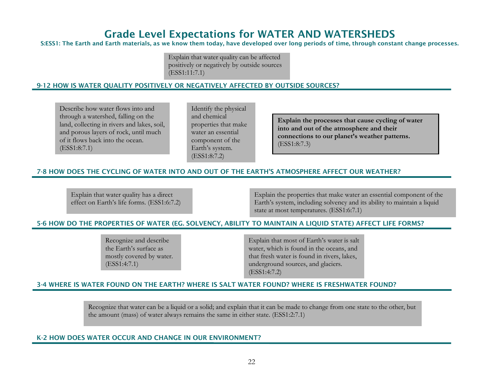# Grade Level Expectations for WATER AND WATERSHEDS

#### S:ESS1: The Earth and Earth materials, as we know them today, have developed over long periods of time, through constant change processes.

Explain that water quality can be affected positively or negatively by outside sources (ESS1:11:7.1)

#### 9-12 HOW IS WATER QUALITY POSITIVELY OR NEGATIVELY AFFECTED BY OUTSIDE SOURCES?

Describe how water flows into and through a watershed, falling on the land, collecting in rivers and lakes, soil, and porous layers of rock, until much of it flows back into the ocean. (ESS1:8:7.1)

Identify the physical and chemical properties that make water an essential component of the Earth's system. (ESS1:8:7.2)

**Explain the processes that cause cycling of water into and out of the atmosphere and their connections to our planet's weather patterns.**  (ESS1:8:7.3)

#### 7-8 HOW DOES THE CYCLING OF WATER INTO AND OUT OF THE EARTH'S ATMOSPHERE AFFECT OUR WEATHER?

Explain that water quality has a direct effect on Earth's life forms. (ESS1:6:7.2)

Explain the properties that make water an essential component of the Earth's system, including solvency and its ability to maintain a liquid state at most temperatures. (ESS1:6:7.1)

#### 5-6 HOW DO THE PROPERTIES OF WATER (EG. SOLVENCY, ABILITY TO MAINTAIN A LIQUID STATE) AFFECT LIFE FORMS?

Recognize and describe the Earth's surface as mostly covered by water. (ESS1:4:7.1)

Explain that most of Earth's water is salt water, which is found in the oceans, and that fresh water is found in rivers, lakes, underground sources, and glaciers. (ESS1:4:7.2)

#### 3-4 WHERE IS WATER FOUND ON THE EARTH? WHERE IS SALT WATER FOUND? WHERE IS FRESHWATER FOUND?

Recognize that water can be a liquid or a solid; and explain that it can be made to change from one state to the other, but the amount (mass) of water always remains the same in either state. (ESS1:2:7.1)

#### K-2 HOW DOES WATER OCCUR AND CHANGE IN OUR ENVIRONMENT?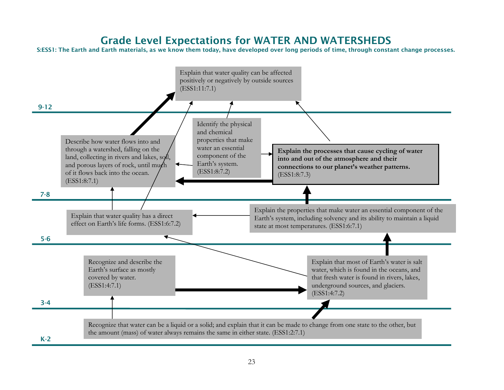# Grade Level Expectations for WATER AND WATERSHEDS

S:ESS1: The Earth and Earth materials, as we know them today, have developed over long periods of time, through constant change processes.

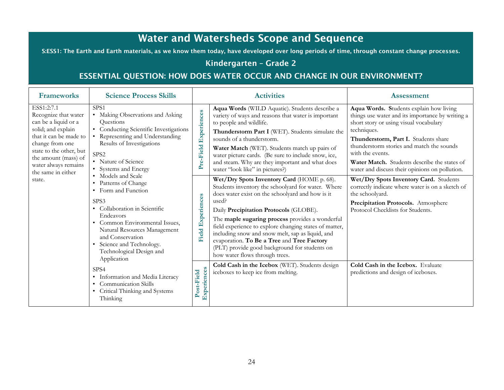# Water and Watersheds Scope and Sequence

S:ESS1: The Earth and Earth materials, as we know them today, have developed over long periods of time, through constant change processes.

# Kindergarten – Grade 2

# ESSENTIAL QUESTION: HOW DOES WATER OCCUR AND CHANGE IN OUR ENVIRONMENT?

| <b>Frameworks</b>                                                                                                                                                                                                                        | <b>Science Process Skills</b>                                                                                                                                                                                                                                                                                |                              | <b>Activities</b>                                                                                                                                                                                                                                                                                                                                                                                                                                                                                                   | <b>Assessment</b>                                                                                                                                                                                                                                                                                                                                                                                                                                             |
|------------------------------------------------------------------------------------------------------------------------------------------------------------------------------------------------------------------------------------------|--------------------------------------------------------------------------------------------------------------------------------------------------------------------------------------------------------------------------------------------------------------------------------------------------------------|------------------------------|---------------------------------------------------------------------------------------------------------------------------------------------------------------------------------------------------------------------------------------------------------------------------------------------------------------------------------------------------------------------------------------------------------------------------------------------------------------------------------------------------------------------|---------------------------------------------------------------------------------------------------------------------------------------------------------------------------------------------------------------------------------------------------------------------------------------------------------------------------------------------------------------------------------------------------------------------------------------------------------------|
| ESS1:2:7.1<br>Recognize that water<br>can be a liquid or a<br>solid; and explain<br>that it can be made to<br>change from one<br>state to the other, but<br>the amount (mass) of<br>water always remains<br>the same in either<br>state. | SPS <sub>1</sub><br>• Making Observations and Asking<br>Questions<br>Conducting Scientific Investigations<br>Representing and Understanding<br>Results of Investigations<br>SPS <sub>2</sub><br>• Nature of Science<br>• Systems and Energy<br>Models and Scale<br>Patterns of Change<br>• Form and Function | Experiences<br>re-Field<br>≏ | Aqua Words (WILD Aquatic). Students describe a<br>variety of ways and reasons that water is important<br>to people and wildlife.<br>Thunderstorm Part I (WET). Students simulate the<br>sounds of a thunderstorm.<br>Water Match (WET). Students match up pairs of<br>water picture cards. (Be sure to include snow, ice,<br>and steam. Why are they important and what does<br>water "look like" in pictures?)<br>Wet/Dry Spots Inventory Card (HOME p. 68).<br>Students inventory the schoolyard for water. Where | Aqua Words. Students explain how living<br>things use water and its importance by writing a<br>short story or using visual vocabulary<br>techniques.<br>Thunderstorm, Part I. Students share<br>thunderstorm stories and match the sounds<br>with the events.<br>Water Match. Students describe the states of<br>water and discuss their opinions on pollution.<br>Wet/Dry Spots Inventory Card. Students<br>correctly indicate where water is on a sketch of |
|                                                                                                                                                                                                                                          | SPS3<br>• Collaboration in Scientific<br>Endeavors<br>Common Environmental Issues,<br>Natural Resources Management<br>and Conservation<br>Science and Technology.<br>$\bullet$<br>Technological Design and<br>Application                                                                                    | Experiences<br><b>Field</b>  | does water exist on the schoolyard and how is it<br>used?<br>Daily Precipitation Protocols (GLOBE).<br>The maple sugaring process provides a wonderful<br>field experience to explore changing states of matter,<br>including snow and snow melt, sap as liquid, and<br>evaporation. To Be a Tree and Tree Factory<br>(PLT) provide good background for students on<br>how water flows through trees.                                                                                                               | the schoolyard.<br>Precipitation Protocols. Atmosphere<br>Protocol Checklists for Students.                                                                                                                                                                                                                                                                                                                                                                   |
|                                                                                                                                                                                                                                          | SPS4<br>• Information and Media Literacy<br>Communication Skills<br>Critical Thinking and Systems<br>Thinking                                                                                                                                                                                                | Experiences<br>Post-Field    | Cold Cash in the Icebox (WET). Students design<br>iceboxes to keep ice from melting.                                                                                                                                                                                                                                                                                                                                                                                                                                | Cold Cash in the Icebox. Evaluate<br>predictions and design of iceboxes.                                                                                                                                                                                                                                                                                                                                                                                      |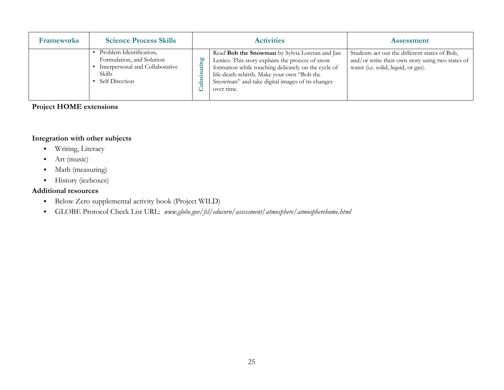| <b>Frameworks</b> | <b>Science Process Skills</b>                                                                                              | <b>Activities</b>                                                                                                                                                                                                                                                              | <b>Assessment</b>                                                                                                                        |
|-------------------|----------------------------------------------------------------------------------------------------------------------------|--------------------------------------------------------------------------------------------------------------------------------------------------------------------------------------------------------------------------------------------------------------------------------|------------------------------------------------------------------------------------------------------------------------------------------|
|                   | Problem Identification,<br>Formulation, and Solution<br>Interpersonal and Collaborative<br><b>Skills</b><br>Self Direction | Read <b>Bob the Snowman</b> by Sylvia Loretan and Jan<br>Lenico. This story explains the process of snow<br>formation while touching delicately on the cycle of<br>life-death-rebirth. Make your own "Bob the<br>Snowman" and take digital images of its changes<br>over time. | Students act out the different states of Bob,<br>and/or write their own story using two states of<br>water (i.e. solid, liquid, or gas). |

### **Integration with other subjects**

- $\blacksquare$ Writing, Literacy
- $\blacksquare$ Art (music)
- $\blacksquare$ Math (measuring)
- $\blacksquare$ History (iceboxes)

- $\blacksquare$ Below Zero supplemental activity book (Project WILD)
- GLOBE Protocol Check List URL: *www.globe.gov/fsl/educorn/assessment/atmosphere/atmospherehome.html*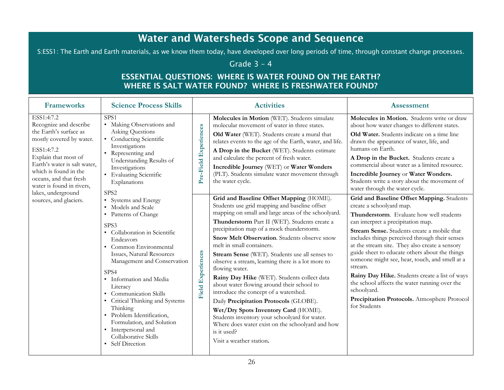# Water and Watersheds Scope and Sequence

S:ESS1: The Earth and Earth materials, as we know them today, have developed over long periods of time, through constant change processes.

# Grade 3 – 4

# ESSENTIAL QUESTIONS: WHERE IS WATER FOUND ON THE EARTH? WHERE IS SALT WATER FOUND? WHERE IS FRESHWATER FOUND?

| <b>Frameworks</b>                                                                                                                                                                                                                                                      | <b>Science Process Skills</b>                                                                                                                                                                                                                                                                                                                                                                                                                                        |                             | <b>Activities</b>                                                                                                                                                                                                                                                                                                                                                                                                                                                                                                                                                                                                                                                                                                                                                                                                            | <b>Assessment</b>                                                                                                                                                                                                                                                                                                                                                                                                                                                                                                                                                                                            |
|------------------------------------------------------------------------------------------------------------------------------------------------------------------------------------------------------------------------------------------------------------------------|----------------------------------------------------------------------------------------------------------------------------------------------------------------------------------------------------------------------------------------------------------------------------------------------------------------------------------------------------------------------------------------------------------------------------------------------------------------------|-----------------------------|------------------------------------------------------------------------------------------------------------------------------------------------------------------------------------------------------------------------------------------------------------------------------------------------------------------------------------------------------------------------------------------------------------------------------------------------------------------------------------------------------------------------------------------------------------------------------------------------------------------------------------------------------------------------------------------------------------------------------------------------------------------------------------------------------------------------------|--------------------------------------------------------------------------------------------------------------------------------------------------------------------------------------------------------------------------------------------------------------------------------------------------------------------------------------------------------------------------------------------------------------------------------------------------------------------------------------------------------------------------------------------------------------------------------------------------------------|
| ESS1:4:7.2<br>Recognize and describe<br>the Earth's surface as<br>mostly covered by water.<br>ESS1:4:7.2<br>Explain that most of<br>Earth's water is salt water,<br>which is found in the<br>oceans, and that fresh<br>water is found in rivers,<br>lakes, underground | SPS1<br>• Making Observations and<br>Asking Questions<br>• Conducting Scientific<br>Investigations<br>• Representing and<br>Understanding Results of<br>Investigations<br>• Evaluating Scientific<br>Explanations<br>SPS <sub>2</sub>                                                                                                                                                                                                                                | Pre-Field Experiences       | Molecules in Motion (WET). Students simulate<br>molecular movement of water in three states.<br>Old Water (WET). Students create a mural that<br>relates events to the age of the Earth, water, and life.<br>A Drop in the Bucket (WET). Students estimate<br>and calculate the percent of fresh water.<br>Incredible Journey (WET) or Water Wonders<br>(PLT). Students simulate water movement through<br>the water cycle.                                                                                                                                                                                                                                                                                                                                                                                                  | Molecules in Motion. Students write or draw<br>about how water changes to different states.<br>Old Water. Students indicate on a time line<br>drawn the appearance of water, life, and<br>humans on Earth.<br>A Drop in the Bucket. Students create a<br>commercial about water as a limited resource.<br>Incredible Journey or Water Wonders.<br>Students write a story about the movement of<br>water through the water cycle.                                                                                                                                                                             |
| sources, and glaciers.                                                                                                                                                                                                                                                 | • Systems and Energy<br>• Models and Scale<br>• Patterns of Change<br>SPS3<br>• Collaboration in Scientific<br>Endeavors<br>• Common Environmental<br>Issues, Natural Resources<br>Management and Conservation<br>SPS4<br>• Information and Media<br>Literacy<br><b>Communication Skills</b><br>Critical Thinking and Systems<br>Thinking<br>· Problem Identification,<br>Formulation, and Solution<br>• Interpersonal and<br>Collaborative Skills<br>Self Direction | Experiences<br><b>Field</b> | Grid and Baseline Offset Mapping (HOME).<br>Students use grid mapping and baseline offset<br>mapping on small and large areas of the schoolyard.<br>Thunderstorm Part II (WET). Students create a<br>precipitation map of a mock thunderstorm.<br>Snow Melt Observation. Students observe snow<br>melt in small containers.<br>Stream Sense (WET). Students use all senses to<br>observe a stream, learning there is a lot more to<br>flowing water.<br>Rainy Day Hike (WET). Students collect data<br>about water flowing around their school to<br>introduce the concept of a watershed.<br>Daily Precipitation Protocols (GLOBE).<br>Wet/Dry Spots Inventory Card (HOME).<br>Students inventory your schoolyard for water.<br>Where does water exist on the schoolyard and how<br>is it used?<br>Visit a weather station. | Grid and Baseline Offset Mapping. Students<br>create a schoolyard map.<br>Thunderstorm. Evaluate how well students<br>can interpret a precipitation map.<br>Stream Sense. Students create a mobile that<br>includes things perceived through their senses<br>at the stream site. They also create a sensory<br>guide sheet to educate others about the things<br>someone might see, hear, touch, and smell at a<br>stream.<br>Rainy Day Hike. Students create a list of ways<br>the school affects the water running over the<br>schoolyard.<br>Precipitation Protocols. Atmosphere Protocol<br>for Students |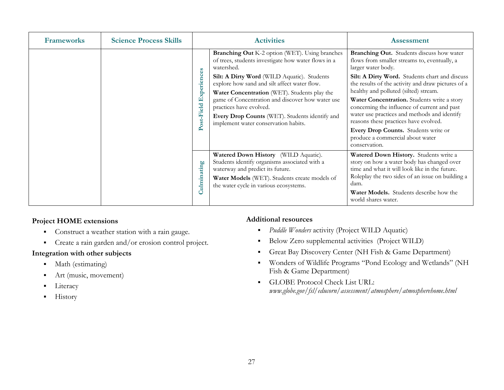| <b>Frameworks</b> | <b>Science Process Skills</b> |                               | <b>Activities</b>                                                                                                                                                                                                                                                                                                                                                                                                                           | <b>Assessment</b>                                                                                                                                                                                                                                                                                                                                                                                                                                                                                                                                     |
|-------------------|-------------------------------|-------------------------------|---------------------------------------------------------------------------------------------------------------------------------------------------------------------------------------------------------------------------------------------------------------------------------------------------------------------------------------------------------------------------------------------------------------------------------------------|-------------------------------------------------------------------------------------------------------------------------------------------------------------------------------------------------------------------------------------------------------------------------------------------------------------------------------------------------------------------------------------------------------------------------------------------------------------------------------------------------------------------------------------------------------|
|                   |                               | Experiences<br>ost-Field<br>ه | Branching Out K-2 option (WET). Using branches<br>of trees, students investigate how water flows in a<br>watershed.<br>Silt: A Dirty Word (WILD Aquatic). Students<br>explore how sand and silt affect water flow.<br>Water Concentration (WET). Students play the<br>game of Concentration and discover how water use<br>practices have evolved.<br>Every Drop Counts (WET). Students identify and<br>implement water conservation habits. | Branching Out. Students discuss how water<br>flows from smaller streams to, eventually, a<br>larger water body.<br>Silt: A Dirty Word. Students chart and discuss<br>the results of the activity and draw pictures of a<br>healthy and polluted (silted) stream.<br>Water Concentration. Students write a story<br>concerning the influence of current and past<br>water use practices and methods and identify<br>reasons these practices have evolved.<br>Every Drop Counts. Students write or<br>produce a commercial about water<br>conservation. |
|                   |                               | Culminating                   | Watered Down History (WILD Aquatic).<br>Students identify organisms associated with a<br>waterway and predict its future.<br>Water Models (WET). Students create models of<br>the water cycle in various ecosystems.                                                                                                                                                                                                                        | Watered Down History. Students write a<br>story on how a water body has changed over<br>time and what it will look like in the future.<br>Roleplay the two sides of an issue on building a<br>dam.<br><b>Water Models.</b> Students describe how the<br>world shares water.                                                                                                                                                                                                                                                                           |

- Construct a weather station with a rain gauge.
- **Create a rain garden and/or erosion control project.**

### **Integration with other subjects**

- Math (estimating)
- $\blacksquare$ Art (music, movement)
- $\blacksquare$ Literacy
- $\blacksquare$ History

- $\blacksquare$ *Puddle Wonders* activity (Project WILD Aquatic)
- $\blacksquare$ Below Zero supplemental activities (Project WILD)
- $\blacksquare$ Great Bay Discovery Center (NH Fish & Game Department)
- Wonders of Wildlife Programs "Pond Ecology and Wetlands" (NH Fish & Game Department)
- GLOBE Protocol Check List URL: *www.globe.gov/fsl/educorn/assessment/atmosphere/atmospherehome.html*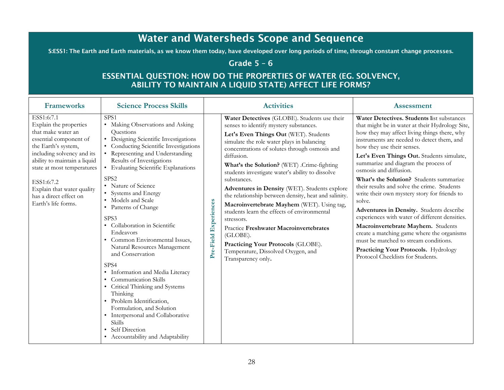# Water and Watersheds Scope and Sequence

S:ESS1: The Earth and Earth materials, as we know them today, have developed over long periods of time, through constant change processes.

# Grade  $5 - 6$

# ESSENTIAL QUESTION: HOW DO THE PROPERTIES OF WATER (EG. SOLVENCY, ABILITY TO MAINTAIN A LIQUID STATE) AFFECT LIFE FORMS?

| <b>Frameworks</b>                                                                                                                                                                                                                                                                                    | <b>Science Process Skills</b>                                                                                                                                                                                                                                                                                                                                                                                                                                                                                                                                                                                                                                                                                                                                                                                             | <b>Activities</b>                                                                                                                                                                                                                                                                                                                                                                                                                                                                                                                                                                                                                                                                                                                                                     | <b>Assessment</b>                                                                                                                                                                                                                                                                                                                                                                                                                                                                                                                                                                                                                                                                                                                                                                                    |
|------------------------------------------------------------------------------------------------------------------------------------------------------------------------------------------------------------------------------------------------------------------------------------------------------|---------------------------------------------------------------------------------------------------------------------------------------------------------------------------------------------------------------------------------------------------------------------------------------------------------------------------------------------------------------------------------------------------------------------------------------------------------------------------------------------------------------------------------------------------------------------------------------------------------------------------------------------------------------------------------------------------------------------------------------------------------------------------------------------------------------------------|-----------------------------------------------------------------------------------------------------------------------------------------------------------------------------------------------------------------------------------------------------------------------------------------------------------------------------------------------------------------------------------------------------------------------------------------------------------------------------------------------------------------------------------------------------------------------------------------------------------------------------------------------------------------------------------------------------------------------------------------------------------------------|------------------------------------------------------------------------------------------------------------------------------------------------------------------------------------------------------------------------------------------------------------------------------------------------------------------------------------------------------------------------------------------------------------------------------------------------------------------------------------------------------------------------------------------------------------------------------------------------------------------------------------------------------------------------------------------------------------------------------------------------------------------------------------------------------|
| ESS1:6:7.1<br>Explain the properties<br>that make water an<br>essential component of<br>the Earth's system,<br>including solvency and its<br>ability to maintain a liquid<br>state at most temperatures<br>ESS1:6:7.2<br>Explain that water quality<br>has a direct effect on<br>Earth's life forms. | SPS <sub>1</sub><br>• Making Observations and Asking<br>Questions<br>• Designing Scientific Investigations<br>Conducting Scientific Investigations<br>• Representing and Understanding<br>Results of Investigations<br>• Evaluating Scientific Explanations<br>SPS <sub>2</sub><br>• Nature of Science<br>• Systems and Energy<br>• Models and Scale<br>• Patterns of Change<br>SPS3<br>• Collaboration in Scientific<br>Endeavors<br>• Common Environmental Issues,<br>Natural Resources Management<br>and Conservation<br>SPS4<br>• Information and Media Literacy<br><b>Communication Skills</b><br>• Critical Thinking and Systems<br>Thinking<br>· Problem Identification,<br>Formulation, and Solution<br>• Interpersonal and Collaborative<br><b>Skills</b><br>Self Direction<br>• Accountability and Adaptability | Water Detectives (GLOBE). Students use their<br>senses to identify mystery substances.<br>Let's Even Things Out (WET). Students<br>simulate the role water plays in balancing<br>concentrations of solutes through osmosis and<br>diffusion.<br>What's the Solution? (WET) .Crime-fighting<br>students investigate water's ability to dissolve<br>substances.<br>Adventures in Density (WET). Students explore<br>the relationship between density, heat and salinity.<br>Experiences<br>Macroinvertebrate Mayhem (WET). Using tag,<br>students learn the effects of environmental<br>stressors.<br>Practice Freshwater Macroinvertebrates<br>(GLOBE).<br>Pre-Field<br>Practicing Your Protocols (GLOBE).<br>Temperature, Dissolved Oxygen, and<br>Transparency only. | Water Detectives. Students list substances<br>that might be in water at their Hydrology Site,<br>how they may affect living things there, why<br>instruments are needed to detect them, and<br>how they use their senses.<br>Let's Even Things Out. Students simulate,<br>summarize and diagram the process of<br>osmosis and diffusion.<br>What's the Solution? Students summarize<br>their results and solve the crime. Students<br>write their own mystery story for friends to<br>solve.<br>Adventures in Density. Students describe<br>experiences with water of different densities.<br>Macroinvertebrate Mayhem. Students<br>create a matching game where the organisms<br>must be matched to stream conditions.<br>Practicing Your Protocols. Hydrology<br>Protocol Checklists for Students. |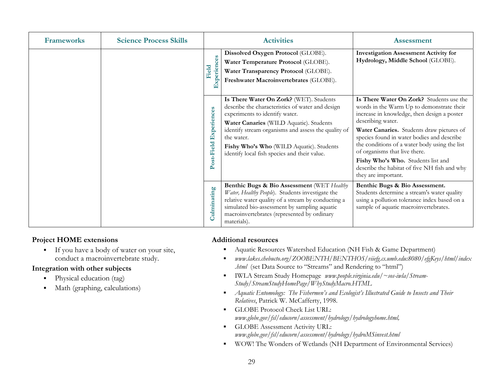| <b>Frameworks</b> | <b>Science Process Skills</b> |                           | <b>Activities</b>                                                                                                                                                                                                                                                                                                                         | <b>Assessment</b>                                                                                                                                                                                                                                                                                                                                                                                                                                   |
|-------------------|-------------------------------|---------------------------|-------------------------------------------------------------------------------------------------------------------------------------------------------------------------------------------------------------------------------------------------------------------------------------------------------------------------------------------|-----------------------------------------------------------------------------------------------------------------------------------------------------------------------------------------------------------------------------------------------------------------------------------------------------------------------------------------------------------------------------------------------------------------------------------------------------|
|                   |                               | Experiences<br>Field      | Dissolved Oxygen Protocol (GLOBE).<br>Water Temperature Protocol (GLOBE).<br>Water Transparency Protocol (GLOBE).<br>Freshwater Macroinvertebrates (GLOBE).                                                                                                                                                                               | <b>Investigation Assessment Activity for</b><br>Hydrology, Middle School (GLOBE).                                                                                                                                                                                                                                                                                                                                                                   |
|                   |                               | Experiences<br>Post-Field | Is There Water On Zork? (WET). Students<br>describe the characteristics of water and design<br>experiments to identify water.<br>Water Canaries (WILD Aquatic). Students<br>identify stream organisms and assess the quality of<br>the water.<br>Fishy Who's Who (WILD Aquatic). Students<br>identify local fish species and their value. | Is There Water On Zork? Students use the<br>words in the Warm Up to demonstrate their<br>increase in knowledge, then design a poster<br>describing water.<br>Water Canaries. Students draw pictures of<br>species found in water bodies and describe<br>the conditions of a water body using the list<br>of organisms that live there.<br>Fishy Who's Who. Students list and<br>describe the habitat of five NH fish and why<br>they are important. |
|                   |                               | Culminating               | Benthic Bugs & Bio Assessment (WET Healthy<br>Water, Healthy People). Students investigate the<br>relative water quality of a stream by conducting a<br>simulated bio-assessment by sampling aquatic<br>macroinvertebrates (represented by ordinary<br>materials).                                                                        | Benthic Bugs & Bio Assessment.<br>Students determine a stream's water quality<br>using a pollution tolerance index based on a<br>sample of aquatic macroinvertebrates.                                                                                                                                                                                                                                                                              |

 $\blacksquare$  If you have a body of water on your site, conduct a macroinvertebrate study.

### **Integration with other subjects**

- $\blacksquare$ Physical education (tag)
- $\blacksquare$ Math (graphing, calculations)

- $\blacksquare$ Aquatic Resources Watershed Education (NH Fish & Game Department)
- $\blacksquare$  *www.lakes.chebucto.org/ZOOBENTH/BENTHOS/viiefg.cs.umb.edu:8080/efgKeys/html/index .html* (set Data Source to "Streams" and Rendering to "html")
- $\mathbf{E}^{\text{max}}$  IWLA Stream Study Homepage *www.people.virginia.edu/~sos-iwla/Stream-Study/StreamStudyHomePage/WhyStudyMacro.HTML*
- *Aquatic Entomology: The Fishermen's and Ecologist's Illustrated Guide to Insects and Their Relatives*, Patrick W. McCafferty, 1998.
- GLOBE Protocol Check List URL: *www.globe.gov/fsl/educorn/assessment/hydrology/hydrologyhome.html,*
- **GLOBE Assessment Activity URL:** *www.globe.gov/fsl/educorn/assessment/hydrology/hydroMSinvest.html*
- $\blacksquare$ WOW! The Wonders of Wetlands (NH Department of Environmental Services)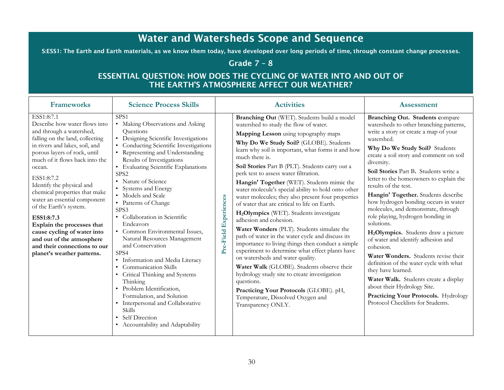# Water and Watersheds Scope and Sequence

S:ESS1: The Earth and Earth materials, as we know them today, have developed over long periods of time, through constant change processes.

# Grade 7 – 8

# ESSENTIAL QUESTION: HOW DOES THE CYCLING OF WATER INTO AND OUT OF THE EARTH'S ATMOSPHERE AFFECT OUR WEATHER?

| <b>Frameworks</b>                                                                                                                                                                                                                                                                                                                                                                                                                                                                                                                    | <b>Science Process Skills</b>                                                                                                                                                                                                                                                                                                                                                                                                                                                                                                                                                                                                                                                                                                                                                                                                        | <b>Activities</b>                                                                                                                                                                                                                                                                                                                                                                                                                                                                                                                                                                                                                                                                                                                                                                                                                                                                                                                                                                                                                                                                                                                  | <b>Assessment</b>                                                                                                                                                                                                                                                                                                                                                                                                                                                                                                                                                                                                                                                                                                                                                                                                                                                                      |
|--------------------------------------------------------------------------------------------------------------------------------------------------------------------------------------------------------------------------------------------------------------------------------------------------------------------------------------------------------------------------------------------------------------------------------------------------------------------------------------------------------------------------------------|--------------------------------------------------------------------------------------------------------------------------------------------------------------------------------------------------------------------------------------------------------------------------------------------------------------------------------------------------------------------------------------------------------------------------------------------------------------------------------------------------------------------------------------------------------------------------------------------------------------------------------------------------------------------------------------------------------------------------------------------------------------------------------------------------------------------------------------|------------------------------------------------------------------------------------------------------------------------------------------------------------------------------------------------------------------------------------------------------------------------------------------------------------------------------------------------------------------------------------------------------------------------------------------------------------------------------------------------------------------------------------------------------------------------------------------------------------------------------------------------------------------------------------------------------------------------------------------------------------------------------------------------------------------------------------------------------------------------------------------------------------------------------------------------------------------------------------------------------------------------------------------------------------------------------------------------------------------------------------|----------------------------------------------------------------------------------------------------------------------------------------------------------------------------------------------------------------------------------------------------------------------------------------------------------------------------------------------------------------------------------------------------------------------------------------------------------------------------------------------------------------------------------------------------------------------------------------------------------------------------------------------------------------------------------------------------------------------------------------------------------------------------------------------------------------------------------------------------------------------------------------|
| ESS1:8:7.1<br>Describe how water flows into<br>and through a watershed,<br>falling on the land, collecting<br>in rivers and lakes, soil, and<br>porous layers of rock, until<br>much of it flows back into the<br>ocean.<br>ESS1:8:7.2<br>Identify the physical and<br>chemical properties that make<br>water an essential component<br>of the Earth's system.<br>ESS1:8:7.3<br>Explain the processes that<br>cause cycling of water into<br>and out of the atmosphere<br>and their connections to our<br>planet's weather patterns. | SPS <sub>1</sub><br>• Making Observations and Asking<br>Questions<br>• Designing Scientific Investigations<br>• Conducting Scientific Investigations<br>• Representing and Understanding<br>Results of Investigations<br>• Evaluating Scientific Explanations<br>SPS <sub>2</sub><br>• Nature of Science<br>• Systems and Energy<br>• Models and Scale<br>• Patterns of Change<br>SPS <sub>3</sub><br>• Collaboration in Scientific<br>Endeavors<br>• Common Environmental Issues,<br>Natural Resources Management<br>and Conservation<br>SPS4<br>· Information and Media Literacy<br>• Communication Skills<br>• Critical Thinking and Systems<br>Thinking<br>· Problem Identification,<br>Formulation, and Solution<br>• Interpersonal and Collaborative<br><b>Skills</b><br>• Self Direction<br>• Accountability and Adaptability | Branching Out (WET). Students build a model<br>watershed to study the flow of water.<br>Mapping Lesson using topography maps<br>Why Do We Study Soil? (GLOBE). Students<br>learn why soil is important, what forms it and how<br>much there is.<br>Soil Stories Part B (PLT). Students carry out a<br>perk test to assess water filtration.<br>Hangin' Together (WET). Students mimic the<br>water molecule's special ability to hold onto other<br>water molecules; they also present four properties<br>Experiences<br>of water that are critical to life on Earth.<br>H <sub>2</sub> Olympics (WET). Students investigate<br>adhesion and cohesion.<br>Water Wonders (PLT). Students simulate the<br>Pre-Field<br>path of water in the water cycle and discuss its<br>importance to living things then conduct a simple<br>experiment to determine what effect plants have<br>on watersheds and water quality.<br>Water Walk (GLOBE). Students observe their<br>hydrology study site to create investigation<br>questions.<br>Practicing Your Protocols (GLOBE). pH,<br>Temperature, Dissolved Oxygen and<br>Transparency ONLY. | Branching Out. Students compare<br>watersheds to other branching patterns,<br>write a story or create a map of your<br>watershed.<br>Why Do We Study Soil? Students<br>create a soil story and comment on soil<br>diversity.<br>Soil Stories Part B. Students write a<br>letter to the homeowners to explain the<br>results of the test.<br>Hangin' Together. Students describe<br>how hydrogen bonding occurs in water<br>molecules, and demonstrate, through<br>role playing, hydrogen bonding in<br>solutions.<br>H <sub>2</sub> Olympics. Students draw a picture<br>of water and identify adhesion and<br>cohesion.<br>Water Wonders. Students revise their<br>definition of the water cycle with what<br>they have learned.<br>Water Walk. Students create a display<br>about their Hydrology Site.<br>Practicing Your Protocols. Hydrology<br>Protocol Checklists for Students. |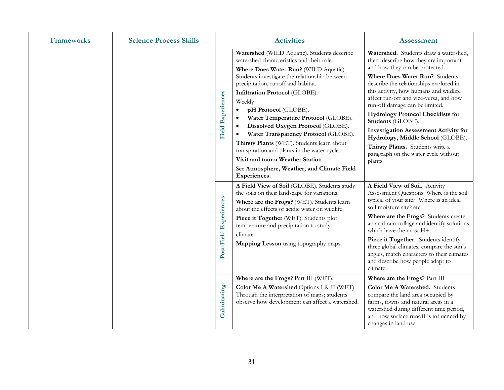| <b>Frameworks</b> | <b>Science Process Skills</b> | <b>Activities</b>                                                                                                                                                                                                                                                                                                                                                                                                                                                                                                                                                                                                                                                       | <b>Assessment</b>                                                                                                                                                                                                                                                                                                                                                                                                                                                                                                                                              |
|-------------------|-------------------------------|-------------------------------------------------------------------------------------------------------------------------------------------------------------------------------------------------------------------------------------------------------------------------------------------------------------------------------------------------------------------------------------------------------------------------------------------------------------------------------------------------------------------------------------------------------------------------------------------------------------------------------------------------------------------------|----------------------------------------------------------------------------------------------------------------------------------------------------------------------------------------------------------------------------------------------------------------------------------------------------------------------------------------------------------------------------------------------------------------------------------------------------------------------------------------------------------------------------------------------------------------|
|                   |                               | Watershed (WILD Aquatic). Students describe<br>watershed characteristics and their role.<br>Where Does Water Run? (WILD Aquatic).<br>Students investigate the relationship between<br>precipitation, runoff and habitat.<br>Infiltration Protocol (GLOBE).<br><b>Field Experiences</b><br>Weekly<br>pH Protocol (GLOBE).<br>$\bullet$<br>Water Temperature Protocol (GLOBE).<br>Dissolved Oxygen Protocol (GLOBE).<br>$\bullet$<br>Water Transparency Protocol (GLOBE).<br>Thirsty Plants (WET). Students learn about<br>transpiration and plants in the water cycle.<br>Visit and tour a Weather Station<br>See Atmosphere, Weather, and Climate Field<br>Experiences. | Watershed. Students draw a watershed,<br>then describe how they are important<br>and how they can be protected.<br>Where Does Water Run? Students<br>describe the relationships explored in<br>this activity, how humans and wildlife<br>affect run-off and vice-versa, and how<br>run-off damage can be limited.<br><b>Hydrology Protocol Checklists for</b><br>Students (GLOBE).<br><b>Investigation Assessment Activity for</b><br>Hydrology, Middle School (GLOBE).<br>Thirsty Plants. Students write a<br>paragraph on the water cycle without<br>plants. |
|                   |                               | A Field View of Soil (GLOBE). Students study<br>the soils on their landscape for variations.<br>Post-Field Experiences<br>Where are the Frogs? (WET). Students learn<br>about the effects of acidic water on wildlife.<br>Piece it Together (WET). Students plot<br>temperature and precipitation to study<br>climate.<br>Mapping Lesson using topography maps.                                                                                                                                                                                                                                                                                                         | A Field View of Soil. Activity<br>Assessment Questions: Where is the soil<br>typical of your site? Where is an ideal<br>soil moisture site? etc.<br>Where are the Frogs? Students create<br>an acid rain collage and identify solutions<br>which have the most H+.<br>Piece it Together. Students identify<br>three global climates, compare the sun's<br>angles, match characters to their climates<br>and describe how people adapt to<br>climate.                                                                                                           |
|                   |                               | Where are the Frogs? Part III (WET).<br>Culminating<br>Color Me A Watershed Options I & II (WET).<br>Through the interpretation of maps; students<br>observe how development can affect a watershed.                                                                                                                                                                                                                                                                                                                                                                                                                                                                    | Where are the Frogs? Part III<br>Color Me A Watershed. Students<br>compare the land area occupied by<br>farms, towns and natural areas in a<br>watershed during different time period,<br>and how surface runoff is influenced by<br>changes in land use.                                                                                                                                                                                                                                                                                                      |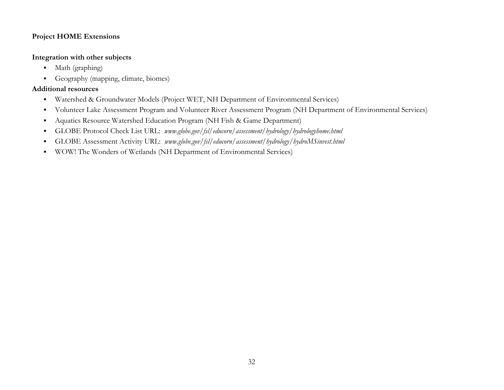### **Integration with other subjects**

- Math (graphing)
- Geography (mapping, climate, biomes)

- $\blacksquare$ Watershed & Groundwater Models (Project WET, NH Department of Environmental Services)
- $\blacksquare$ Volunteer Lake Assessment Program and Volunteer River Assessment Program (NH Department of Environmental Services)
- $\blacksquare$ Aquatics Resource Watershed Education Program (NH Fish & Game Department)
- $\blacksquare$ GLOBE Protocol Check List URL: *www.globe.gov/fsl/educorn/assessment/hydrology/hydrologyhome.html*
- $\blacksquare$ GLOBE Assessment Activity URL: *www.globe.gov/fsl/educorn/assessment/hydrology/hydroMSinvest.html*
- $\blacksquare$ WOW! The Wonders of Wetlands (NH Department of Environmental Services)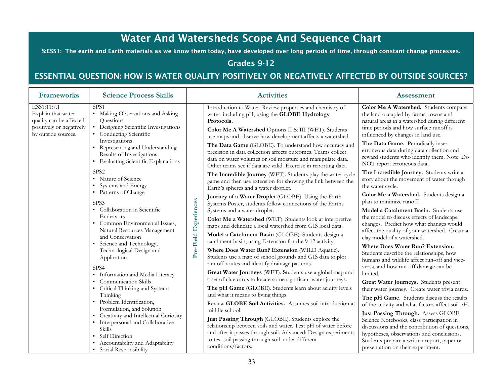# Water And Watersheds Scope And Sequence Chart

S:ESS1: The earth and Earth materials as we know them today, have developed over long periods of time, through constant change processes.

# Grades 9-12

# ESSENTIAL QUESTION: HOW IS WATER QUALITY POSITIVELY OR NEGATIVELY AFFECTED BY OUTSIDE SOURCES?

| <b>Frameworks</b>                                                                                               | <b>Science Process Skills</b>                                                                                                                                                                                                                                                                                     |                       | <b>Activities</b>                                                                                                                                                                                                                                                 | <b>Assessment</b>                                                                                                                                                                                                                                                                                                                                                                                                                                                                                                                                                                                                                    |                                                                                                                                                                                                                                                                                                                                                                                                                                                                                                |                                                                                               |  |                                                                                                                                                                     |                                                                                                           |
|-----------------------------------------------------------------------------------------------------------------|-------------------------------------------------------------------------------------------------------------------------------------------------------------------------------------------------------------------------------------------------------------------------------------------------------------------|-----------------------|-------------------------------------------------------------------------------------------------------------------------------------------------------------------------------------------------------------------------------------------------------------------|--------------------------------------------------------------------------------------------------------------------------------------------------------------------------------------------------------------------------------------------------------------------------------------------------------------------------------------------------------------------------------------------------------------------------------------------------------------------------------------------------------------------------------------------------------------------------------------------------------------------------------------|------------------------------------------------------------------------------------------------------------------------------------------------------------------------------------------------------------------------------------------------------------------------------------------------------------------------------------------------------------------------------------------------------------------------------------------------------------------------------------------------|-----------------------------------------------------------------------------------------------|--|---------------------------------------------------------------------------------------------------------------------------------------------------------------------|-----------------------------------------------------------------------------------------------------------|
| ESS1:11:7.1<br>Explain that water<br>quality can be affected<br>positively or negatively<br>by outside sources. | SPS <sub>1</sub><br>• Making Observations and Asking<br>Ouestions<br>• Designing Scientific Investigations<br>• Conducting Scientific<br>Investigations                                                                                                                                                           |                       | Introduction to Water. Review properties and chemistry of<br>water, including pH, using the GLOBE Hydrology<br>Protocols.<br>Color Me A Watershed Options II & III (WET). Students<br>use maps and observe how development affects a watershed.                   | Color Me A Watershed. Students compare<br>the land occupied by farms, towns and<br>natural areas in a watershed during different<br>time periods and how surface runoff is<br>influenced by changes in land use.                                                                                                                                                                                                                                                                                                                                                                                                                     |                                                                                                                                                                                                                                                                                                                                                                                                                                                                                                |                                                                                               |  |                                                                                                                                                                     |                                                                                                           |
|                                                                                                                 | • Representing and Understanding<br>Results of Investigations<br>• Evaluating Scientific Explanations                                                                                                                                                                                                             |                       | The Data Game (GLOBE). To understand how accuracy and<br>precision in data collection affects outcomes. Teams collect<br>data on water volumes or soil moisture and manipulate data.<br>Other teams see if data are valid. Exercise in reporting data.            | The Data Game. Periodically insert<br>erroneous data during data collection and<br>reward students who identify them. Note: Do<br>NOT report erroneous data.                                                                                                                                                                                                                                                                                                                                                                                                                                                                         |                                                                                                                                                                                                                                                                                                                                                                                                                                                                                                |                                                                                               |  |                                                                                                                                                                     |                                                                                                           |
|                                                                                                                 | SPS <sub>2</sub><br>• Nature of Science<br>• Systems and Energy                                                                                                                                                                                                                                                   | Pre-Field Experiences |                                                                                                                                                                                                                                                                   |                                                                                                                                                                                                                                                                                                                                                                                                                                                                                                                                                                                                                                      |                                                                                                                                                                                                                                                                                                                                                                                                                                                                                                |                                                                                               |  | The Incredible Journey (WET). Students play the water cycle<br>game and then use extension for showing the link between the<br>Earth's spheres and a water droplet. | The Incredible Journey. Students write a<br>story about the movement of water through<br>the water cycle. |
|                                                                                                                 | • Patterns of Change<br>SPS3                                                                                                                                                                                                                                                                                      |                       | Journey of a Water Droplet (GLOBE). Using the Earth<br>Systems Poster, students follow connections of the Earths                                                                                                                                                  | Color Me a Watershed. Students design a<br>plan to minimize runoff.                                                                                                                                                                                                                                                                                                                                                                                                                                                                                                                                                                  |                                                                                                                                                                                                                                                                                                                                                                                                                                                                                                |                                                                                               |  |                                                                                                                                                                     |                                                                                                           |
|                                                                                                                 | • Collaboration in Scientific<br>Endeavors<br>• Common Environmental Issues,<br>Natural Resources Management<br>and Conservation<br>• Science and Technology,<br>Technological Design and<br>Application<br>SPS4<br>· Information and Media Literacy<br>• Communication Skills<br>• Critical Thinking and Systems |                       |                                                                                                                                                                                                                                                                   | Systems and a water droplet.<br>Color Me a Watershed (WET). Students look at interpretive<br>maps and delineate a local watershed from GIS local data.<br>Model a Catchment Basin (GLOBE). Students design a<br>catchment basin, using Extension for the 9-12 activity.<br>Where Does Water Run? Extension (WILD Aquatic).<br>Students use a map of school grounds and GIS data to plot<br>run off routes and identify drainage patterns.<br>Great Water Journeys (WET). Students use a global map and<br>a set of clue cards to locate some significant water journeys.<br>The pH Game (GLOBE). Students learn about acidity levels | Model a Catchment Basin. Students use<br>the model to discuss effects of landscape<br>changes. Predict how what changes would<br>affect the quality of your watershed. Create a<br>clay model of a watershed.<br>Where Does Water Run? Extension.<br>Students describe the relationships, how<br>humans and wildlife affect run-off and vice-<br>versa, and how run-off damage can be<br>limited.<br>Great Water Journeys. Students present<br>their water journey. Create water trivia cards. |                                                                                               |  |                                                                                                                                                                     |                                                                                                           |
|                                                                                                                 | Thinking<br>• Problem Identification,<br>Formulation, and Solution                                                                                                                                                                                                                                                |                       |                                                                                                                                                                                                                                                                   |                                                                                                                                                                                                                                                                                                                                                                                                                                                                                                                                                                                                                                      | and what it means to living things.<br>Review GLOBE Soil Activities. Assumes soil introduction at<br>middle school.                                                                                                                                                                                                                                                                                                                                                                            | The pH Game. Students discuss the results<br>of the activity and what factors affect soil pH. |  |                                                                                                                                                                     |                                                                                                           |
|                                                                                                                 | • Creativity and Intellectual Curiosity<br>• Interpersonal and Collaborative<br><b>Skills</b><br>• Self Direction<br>Accountability and Adaptability<br>• Social Responsibility                                                                                                                                   |                       | Just Passing Through (GLOBE). Students explore the<br>relationship between soils and water. Test pH of water before<br>and after it passes through soil. Advanced: Design experiments<br>to test soil passing through soil under different<br>conditions/factors. | Just Passing Through. Assess GLOBE<br>Science Notebooks, class participation in<br>discussions and the contribution of questions,<br>hypotheses, observations and conclusions.<br>Students prepare a written report, paper or<br>presentation on their experiment.                                                                                                                                                                                                                                                                                                                                                                   |                                                                                                                                                                                                                                                                                                                                                                                                                                                                                                |                                                                                               |  |                                                                                                                                                                     |                                                                                                           |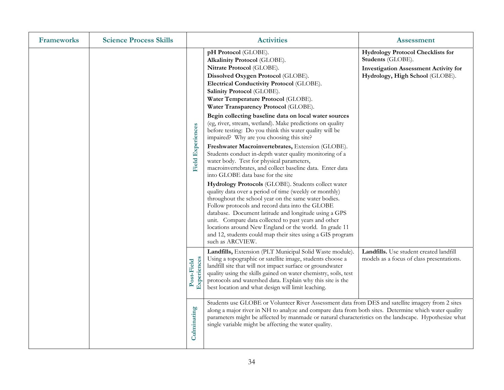| <b>Frameworks</b> | <b>Science Process Skills</b> |                           | <b>Activities</b>                                                                                                                                                                                                                                                                                                                                                                                                                                                                                                                                                                                                                                                                                                                                                                                                                                                                                                                                                                                                                                                                                                                                                                                                                                                       | <b>Assessment</b>                                                                                                                                |
|-------------------|-------------------------------|---------------------------|-------------------------------------------------------------------------------------------------------------------------------------------------------------------------------------------------------------------------------------------------------------------------------------------------------------------------------------------------------------------------------------------------------------------------------------------------------------------------------------------------------------------------------------------------------------------------------------------------------------------------------------------------------------------------------------------------------------------------------------------------------------------------------------------------------------------------------------------------------------------------------------------------------------------------------------------------------------------------------------------------------------------------------------------------------------------------------------------------------------------------------------------------------------------------------------------------------------------------------------------------------------------------|--------------------------------------------------------------------------------------------------------------------------------------------------|
|                   |                               | <b>Field Experiences</b>  | pH Protocol (GLOBE).<br>Alkalinity Protocol (GLOBE).<br>Nitrate Protocol (GLOBE).<br>Dissolved Oxygen Protocol (GLOBE).<br>Electrical Conductivity Protocol (GLOBE).<br>Salinity Protocol (GLOBE).<br>Water Temperature Protocol (GLOBE).<br>Water Transparency Protocol (GLOBE).<br>Begin collecting baseline data on local water sources<br>(eg, river, stream, wetland). Make predictions on quality<br>before testing: Do you think this water quality will be<br>impaired? Why are you choosing this site?<br>Freshwater Macroinvertebrates, Extension (GLOBE).<br>Students conduct in-depth water quality monitoring of a<br>water body. Test for physical parameters,<br>macroinvertebrates, and collect baseline data. Enter data<br>into GLOBE data base for the site<br>Hydrology Protocols (GLOBE). Students collect water<br>quality data over a period of time (weekly or monthly)<br>throughout the school year on the same water bodies.<br>Follow protocols and record data into the GLOBE<br>database. Document latitude and longitude using a GPS<br>unit. Compare data collected to past years and other<br>locations around New England or the world. In grade 11<br>and 12, students could map their sites using a GIS program<br>such as ARCVIEW. | <b>Hydrology Protocol Checklists for</b><br>Students (GLOBE).<br><b>Investigation Assessment Activity for</b><br>Hydrology, High School (GLOBE). |
|                   |                               | Experiences<br>Post-Field | Landfills, Extension (PLT Municipal Solid Waste module).<br>Using a topographic or satellite image, students choose a<br>landfill site that will not impact surface or groundwater<br>quality using the skills gained on water chemistry, soils, test<br>protocols and watershed data. Explain why this site is the<br>best location and what design will limit leaching.                                                                                                                                                                                                                                                                                                                                                                                                                                                                                                                                                                                                                                                                                                                                                                                                                                                                                               | Landfills. Use student created landfill<br>models as a focus of class presentations.                                                             |
|                   | Culminating                   |                           | Students use GLOBE or Volunteer River Assessment data from DES and satellite imagery from 2 sites<br>along a major river in NH to analyze and compare data from both sites. Determine which water quality<br>parameters might be affected by manmade or natural characteristics on the landscape. Hypothesize what<br>single variable might be affecting the water quality.                                                                                                                                                                                                                                                                                                                                                                                                                                                                                                                                                                                                                                                                                                                                                                                                                                                                                             |                                                                                                                                                  |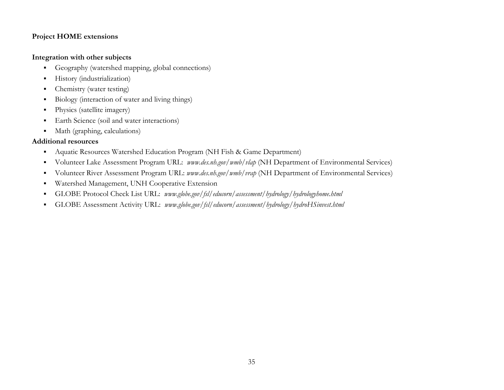### **Integration with other subjects**

- $\blacksquare$ Geography (watershed mapping, global connections)
- $\blacksquare$ History (industrialization)
- $\blacksquare$ Chemistry (water testing)
- $\blacksquare$ Biology (interaction of water and living things)
- $\blacksquare$ Physics (satellite imagery)
- $\blacksquare$ Earth Science (soil and water interactions)
- $\blacksquare$ Math (graphing, calculations)

- $\blacksquare$ Aquatic Resources Watershed Education Program (NH Fish & Game Department)
- $\blacksquare$ Volunteer Lake Assessment Program URL: *www.des.nh.gov/wmb/vlap* (NH Department of Environmental Services)
- $\blacksquare$ Volunteer River Assessment Program URL: *www.des.nh.gov/wmb/vrap* (NH Department of Environmental Services)
- $\blacksquare$ Watershed Management, UNH Cooperative Extension
- $\blacksquare$ GLOBE Protocol Check List URL: *www.globe.gov/fsl/educorn/assessment/hydrology/hydrologyhome.html*
- $\blacksquare$ GLOBE Assessment Activity URL: *www.globe.gov/fsl/educorn/assessment/hydrology/hydroHSinvest.html*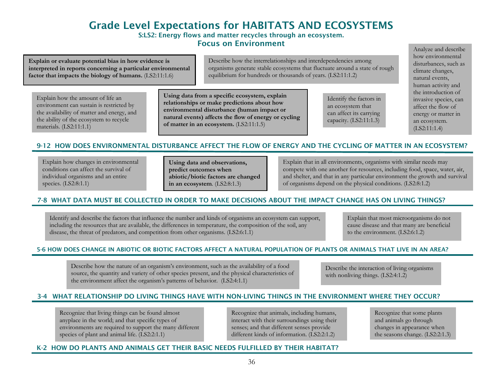# Grade Level Expectations for HABITATS AND ECOSYSTEMS S:LS2: Energy flows and matter recycles through an ecosystem.

Focus on Environment

**Explain or evaluate potential bias in how evidence is interpreted in reports concerning a particular environmental factor that impacts the biology of humans.** (LS2:11:1.6)

Describe how the interrelationships and interdependencies among organisms generate stable ecosystems that fluctuate around a state of rough equilibrium for hundreds or thousands of years. (LS2:11:1.2)

Explain how the amount of life an environment can sustain is restricted by the availability of matter and energy, and the ability of the ecosystem to recycle materials. (LS2:11:1.1)

**Using data from a specific ecosystem, explain relationships or make predictions about how environmental disturbance (human impact or natural events) affects the flow of energy or cycling of matter in an ecosystem.** (LS2:11:1.5)

Identify the factors in an ecosystem that can affect its carrying capacity. (LS2:11:1.3)

Analyze and describe how environmental disturbances, such as climate changes, natural events, human activity and the introduction of invasive species, can affect the flow of energy or matter in an ecosystem. (LS2:11:1.4)

### 9-12 HOW DOES ENVIRONMENTAL DISTURBANCE AFFECT THE FLOW OF ENERGY AND THE CYCLING OF MATTER IN AN ECOSYSTEM?

Explain how changes in environmental conditions can affect the survival of individual organisms and an entire species. (LS2:8:1.1)

**Using data and observations, predict outcomes when abiotic/biotic factors are changed in an ecosystem**. (LS2:8:1.3)

Explain that in all environments, organisms with similar needs may compete with one another for resources, including food, space, water, air, and shelter, and that in any particular environment the growth and survival of organisms depend on the physical conditions. (LS2:8:1.2)

### 7-8 WHAT DATA MUST BE COLLECTED IN ORDER TO MAKE DECISIONS ABOUT THE IMPACT CHANGE HAS ON LIVING THINGS?

Identify and describe the factors that influence the number and kinds of organisms an ecosystem can support, including the resources that are available, the differences in temperature, the composition of the soil, any disease, the threat of predators, and competition from other organisms. (LS2:6:1.1)

Explain that most microorganisms do not cause disease and that many are beneficial to the environment. (LS2:6:1.2)

#### 5-6 HOW DOES CHANGE IN ABIOTIC OR BIOTIC FACTORS AFFECT A NATURAL POPULATION OF PLANTS OR ANIMALS THAT LIVE IN AN AREA?

Describe how the nature of an organism's environment, such as the availability of a food source, the quantity and variety of other species present, and the physical characteristics of the environment affect the organism's patterns of behavior. (LS2:4:1.1)

Describe the interaction of living organisms with nonliving things. (LS2:4:1.2)

### 3-4 WHAT RELATIONSHIP DO LIVING THINGS HAVE WITH NON-LIVING THINGS IN THE ENVIRONMENT WHERE THEY OCCUR?

Recognize that living things can be found almost anyplace in the world; and that specific types of environments are required to support the many different species of plant and animal life. (LS2:2:1.1)

Recognize that animals, including humans, interact with their surroundings using their senses; and that different senses provide different kinds of information. (LS2:2:1.2)

Recognize that some plants and animals go through changes in appearance when the seasons change. (LS2:2:1.3)

#### K-2 HOW DO PLANTS AND ANIMALS GET THEIR BASIC NEEDS FULFILLED BY THEIR HABITAT?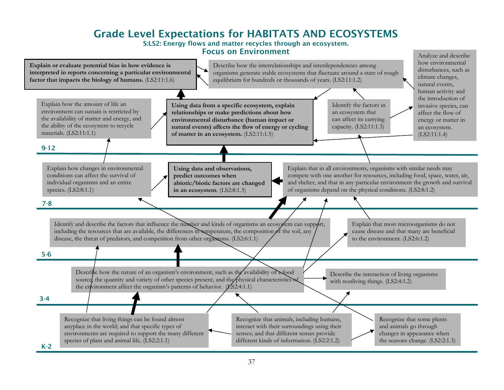# Grade Level Expectations for HABITATS AND ECOSYSTEMS

S:LS2: Energy flows and matter recycles through an ecosystem. Focus on Environment

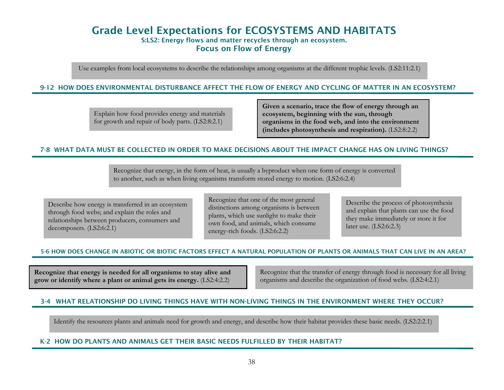# Grade Level Expectations for ECOSYSTEMS AND HABITATS S:LS2: Energy flows and matter recycles through an ecosystem. Focus on Flow of Energy

Use examples from local ecosystems to describe the relationships among organisms at the different trophic levels. (LS2:11:2.1)

#### 9-12 HOW DOES ENVIRONMENTAL DISTURBANCE AFFECT THE FLOW OF ENERGY AND CYCLING OF MATTER IN AN ECOSYSTEM?

Explain how food provides energy and materials for growth and repair of body parts. (LS2:8:2.1)

**Given a scenario, trace the flow of energy through an ecosystem, beginning with the sun, through organisms in the food web, and into the environment (includes photosynthesis and respiration).** (LS2:8:2.2)

#### 7-8 WHAT DATA MUST BE COLLECTED IN ORDER TO MAKE DECISIONS ABOUT THE IMPACT CHANGE HAS ON LIVING THINGS?

Recognize that energy, in the form of heat, is usually a byproduct when one form of energy is converted to another, such as when living organisms transform stored energy to motion. (LS2:6:2.4)

Describe how energy is transferred in an ecosystem through food webs; and explain the roles and relationships between producers, consumers and decomposers. (LS2:6:2.1)

Recognize that one of the most general distinctions among organisms is between plants, which use sunlight to make their own food, and animals, which consume energy-rich foods. (LS2:6:2.2)

Describe the process of photosynthesis and explain that plants can use the food they make immediately or store it for later use. (LS2:6:2.3)

#### 5-6 HOW DOES CHANGE IN ABIOTIC OR BIOTIC FACTORS EFFECT A NATURAL POPULATION OF PLANTS OR ANIMALS THAT CAN LIVE IN AN AREA?

**Recognize that energy is needed for all organisms to stay alive and grow or identify where a plant or animal gets its energy.** (LS2:4:2.2)

Recognize that the transfer of energy through food is necessary for all living organisms and describe the organization of food webs. (LS2:4:2.1)

### 3-4 WHAT RELATIONSHIP DO LIVING THINGS HAVE WITH NON-LIVING THINGS IN THE ENVIRONMENT WHERE THEY OCCUR?

Identify the resources plants and animals need for growth and energy, and describe how their habitat provides these basic needs. (LS2:2:2.1)

#### K-2 HOW DO PLANTS AND ANIMALS GET THEIR BASIC NEEDS FULFILLED BY THEIR HABITAT?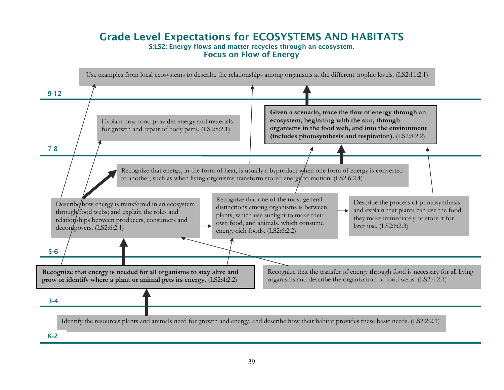### Grade Level Expectations for ECOSYSTEMS AND HABITATS S:LS2: Energy flows and matter recycles through an ecosystem. Focus on Flow of Energy

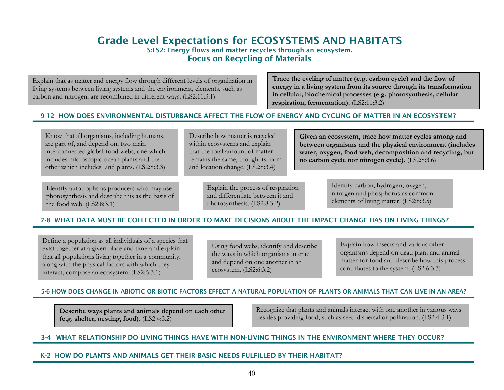# Grade Level Expectations for ECOSYSTEMS AND HABITATS

S:LS2: Energy flows and matter recycles through an ecosystem. Focus on Recycling of Materials

Explain that as matter and energy flow through different levels of organization in living systems between living systems and the environment, elements, such as carbon and nitrogen, are recombined in different ways. (LS2:11:3.1)

**Trace the cycling of matter (e.g. carbon cycle) and the flow of energy in a living system from its source through its transformation in cellular, biochemical processes (e.g. photosynthesis, cellular res piration, fermentation).** (LS2:11:3.2)

### 9-12 HOW DOES ENVIRONMENTAL DISTURBANCE AFFECT THE FLOW OF ENERGY AND CYCLING OF MATTER IN AN ECOSYSTEM?

Know that all organisms, including humans, are part of, and depend on, two main interconnected global food webs, one which includes microscopic ocean plants and the other which includes land plants. (LS2:8:3.3)

Identify autotrophs as producers who may use photosynthesis and describe this as the basis of the food web. (LS2:8:3.1)

Describe how matter is recycled within ecosystems and explain that the total amount of matter remains the same, though its form and location change. (LS2:8:3.4)

> Explain the process of respiration and differentiate between it and photosynthesis. (LS2:8:3.2)

**Given an ecosystem, trace how matter cycles among and between organisms and the physical environment (includes water, oxygen, food web, decomposition and recycling, but no carbon cycle nor nitrogen cycle).** (LS2:8:3.6)

> Identify carbon, hydrogen, oxygen, nitrogen and phosphorus as common elements of living matter. (LS2:8:3.5)

### 7-8 WHAT DATA MUST BE COLLECTED IN ORDER TO MAKE DECISIONS ABOUT THE IMPACT CHANGE HAS ON LIVING THINGS?

Define a population as all individuals of a species that exist together at a given place and time and explain that all populations living together in a community, along with the physical factors with which they interact, compose an ecosystem. (LS2:6:3.1)

Using food webs, identify and describe the ways in which organisms interact and depend on one another in an ecosystem. (LS2:6:3.2)

Explain how insects and various other organisms depend on dead plant and animal matter for food and describe how this process contributes to the system. (LS2:6:3.3)

### 5-6 HOW DOES CHANGE IN ABIOTIC OR BIOTIC FACTORS EFFECT A NATURAL POPULATION OF PLANTS OR ANIMALS THAT CAN LIVE IN AN AREA?

**Describe ways plants and animals depend on each other (e.g. shelter, nesting, food).** (LS2:4:3.2)

Recognize that plants and animals interact with one another in various ways besides providing food, such as seed dispersal or pollination. (LS2:4:3.1)

### 3-4 WHAT RELATIONSHIP DO LIVING THINGS HAVE WITH NON-LIVING THINGS IN THE ENVIRONMENT WHERE THEY OCCUR?

#### K-2 HOW DO PLANTS AND ANIMALS GET THEIR BASIC NEEDS FULFILLED BY THEIR HABITAT?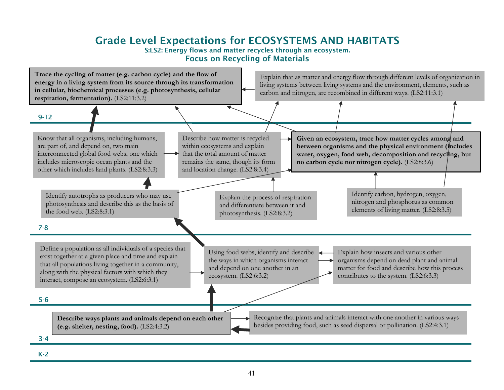# Grade Level Expectations for ECOSYSTEMS AND HABITATS

#### S:LS2: Energy flows and matter recycles through an ecosystem. Focus on Recycling of Materials



K-2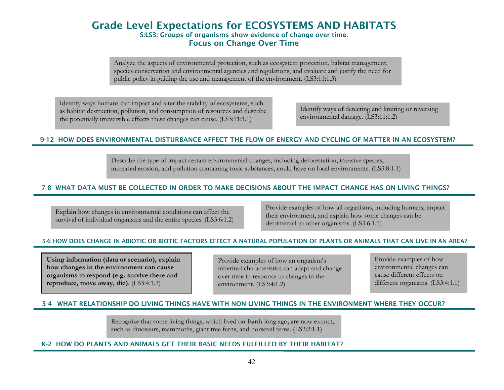# Grade Level Expectations for ECOSYSTEMS AND HABITATS S:LS3: Groups of organisms show evidence of change over time. Focus on Change Over Time

Analyze the aspects of environmental protection, such as ecosystem protection, habitat management, species conservation and environmental agencies and regulations, and evaluate and justify the need for public policy in guiding the use and management of the environment. (LS3:11:1.3)

Identify ways humans can impact and alter the stability of ecosystems, such as habitat destruction, pollution, and consumption of resources and describe the potentially irreversible effects these changes can cause. (LS3:11:1.1)

Identify ways of detecting and limiting or reversing environmental damage. (LS3:11:1.2)

#### 9-12 HOW DOES ENVIRONMENTAL DISTURBANCE AFFECT THE FLOW OF ENERGY AND CYCLING OF MATTER IN AN ECOSYSTEM?

Describe the type of impact certain environmental changes, including deforestation, invasive species, increased erosion, and pollution containing toxic substances, could have on local environments. (LS3:8:1.1)

#### 7-8 WHAT DATA MUST BE COLLECTED IN ORDER TO MAKE DECISIONS ABOUT THE IMPACT CHANGE HAS ON LIVING THINGS?

Explain how changes in environmental conditions can affect the survival of individual organisms and the entire species. (LS3:6:1.2) Provide examples of how all organisms, including humans, impact their environment, and explain how some changes can be detrimental to other organisms. (LS3:6:1.1)

#### 5-6 HOW DOES CHANGE IN ABIOTIC OR BIOTIC FACTORS EFFECT A NATURAL POPULATION OF PLANTS OR ANIMALS THAT CAN LIVE IN AN AREA?

**Using information (data or scenario), explain how changes in the environment can cause organisms to respond (e.g. survive there and reproduce, move away, die).** (LS3:4:1.3)

Provide examples of how an organism's inherited characteristics can adapt and change over time in response to changes in the environment. (LS3:4:1.2)

Provide examples of how environmental changes can cause different effects on different organisms. (LS3:4:1.1)

#### 3-4 WHAT RELATIONSHIP DO LIVING THINGS HAVE WITH NON-LIVING THINGS IN THE ENVIRONMENT WHERE THEY OCCUR?

Recognize that some living things, which lived on Earth long ago, are now extinct, such as dinosaurs, mammoths, giant tree ferns, and horsetail ferns. (LS3:2:1.1)

#### K-2 HOW DO PLANTS AND ANIMALS GET THEIR BASIC NEEDS FULFILLED BY THEIR HABITAT?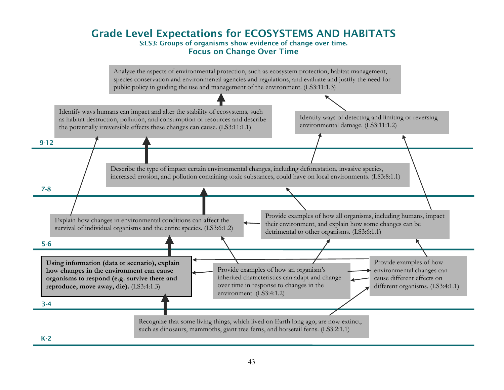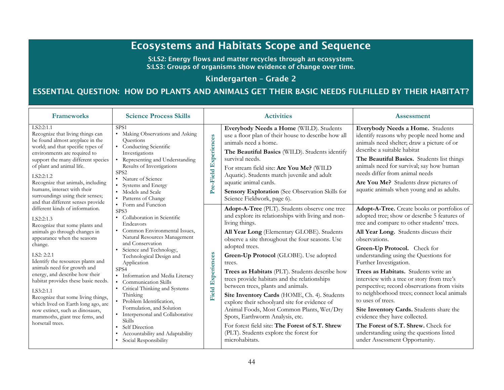# Ecosystems and Habitats Scope and Sequence

S:LS2: Energy flows and matter recycles through an ecosystem. S:LS3: Groups of organisms show evidence of change over time.

### Kindergarten – Grade 2

# ESSENTIAL QUESTION: HOW DO PLANTS AND ANIMALS GET THEIR BASIC NEEDS FULFILLED BY THEIR HABITAT?

| <b>Frameworks</b>                                                                                                                                                                                                                                                                                                                                                                                                                                | <b>Science Process Skills</b>                                                                                                                                                                                                                                                                                                                                                                                                                                                 |                          | <b>Activities</b>                                                                                                                                                                                                                                                                                                                                                                                                                                                                                                                                                                  | <b>Assessment</b>                                                                                                                                                                                                                                                                                                                                                                                                                                                                                                                                             |
|--------------------------------------------------------------------------------------------------------------------------------------------------------------------------------------------------------------------------------------------------------------------------------------------------------------------------------------------------------------------------------------------------------------------------------------------------|-------------------------------------------------------------------------------------------------------------------------------------------------------------------------------------------------------------------------------------------------------------------------------------------------------------------------------------------------------------------------------------------------------------------------------------------------------------------------------|--------------------------|------------------------------------------------------------------------------------------------------------------------------------------------------------------------------------------------------------------------------------------------------------------------------------------------------------------------------------------------------------------------------------------------------------------------------------------------------------------------------------------------------------------------------------------------------------------------------------|---------------------------------------------------------------------------------------------------------------------------------------------------------------------------------------------------------------------------------------------------------------------------------------------------------------------------------------------------------------------------------------------------------------------------------------------------------------------------------------------------------------------------------------------------------------|
| LS2:2:1.1<br>Recognize that living things can<br>be found almost anyplace in the<br>world; and that specific types of<br>environments are required to<br>support the many different species<br>of plant and animal life.<br>LS2:2:1.2<br>Recognize that animals, including<br>humans, interact with their<br>surroundings using their senses;<br>and that different senses provide                                                               | SPS <sub>1</sub><br>• Making Observations and Asking<br>Questions<br>• Conducting Scientific<br>Investigations<br>Representing and Understanding<br>Results of Investigations<br>SPS <sub>2</sub><br>• Nature of Science<br>Systems and Energy<br>• Models and Scale<br>• Patterns of Change                                                                                                                                                                                  | Pre-Field Experiences    | Everybody Needs a Home (WILD). Students<br>use a floor plan of their house to describe how all<br>animals need a home.<br>The Beautiful Basics (WILD). Students identify<br>survival needs.<br>For stream field site: Are You Me? (WILD<br>Aquatic). Students match juvenile and adult<br>aquatic animal cards.<br><b>Sensory Exploration</b> (See Observation Skills for<br>Science Fieldwork, page 6).                                                                                                                                                                           | Everybody Needs a Home. Students<br>identify reasons why people need home and<br>animals need shelter; draw a picture of or<br>describe a suitable habitat<br>The Beautiful Basics. Students list things<br>animals need for survival; say how human<br>needs differ from animal needs<br>Are You Me? Students draw pictures of<br>aquatic animals when young and as adults.                                                                                                                                                                                  |
| different kinds of information.<br>LS2:2:1.3<br>Recognize that some plants and<br>animals go through changes in<br>appearance when the seasons<br>change.<br>LS2: 2:2.1<br>Identify the resources plants and<br>animals need for growth and<br>energy, and describe how their<br>habitat provides these basic needs.<br>LS3:2:1.1<br>Recognize that some living things,<br>which lived on Earth long ago, are<br>now extinct, such as dinosaurs, | • Form and Function<br>SPS3<br>• Collaboration in Scientific<br>Endeavors<br>• Common Environmental Issues,<br>Natural Resources Management<br>and Conservation<br>• Science and Technology,<br>Technological Design and<br>Application<br>SPS4<br>• Information and Media Literacy<br><b>Communication Skills</b><br>$\bullet$<br>• Critical Thinking and Systems<br>Thinking<br>· Problem Identification,<br>Formulation, and Solution<br>• Interpersonal and Collaborative | <b>Field Experiences</b> | Adopt-A-Tree (PLT). Students observe one tree<br>and explore its relationships with living and non-<br>living things.<br>All Year Long (Elementary GLOBE). Students<br>observe a site throughout the four seasons. Use<br>adopted trees.<br>Green-Up Protocol (GLOBE). Use adopted<br>trees.<br>Trees as Habitats (PLT). Students describe how<br>trees provide habitats and the relationships<br>between trees, plants and animals.<br>Site Inventory Cards (HOME, Ch. 4). Students<br>explore their schoolyard site for evidence of<br>Animal Foods, Most Common Plants, Wet/Dry | Adopt-A-Tree. Create books or portfolios of<br>adopted tree; show or describe 5 features of<br>tree and compare to other students' trees.<br>All Year Long. Students discuss their<br>observations.<br>Green-Up Protocol. Check for<br>understanding using the Questions for<br>Further Investigation.<br>Trees as Habitats. Students write an<br>interview with a tree or story from tree's<br>perspective; record observations from visits<br>to neighborhood trees; connect local animals<br>to uses of trees.<br>Site Inventory Cards. Students share the |
| mammoths, giant tree ferns, and<br>horsetail trees.                                                                                                                                                                                                                                                                                                                                                                                              | Skills<br>• Self Direction<br>Accountability and Adaptability<br>· Social Responsibility                                                                                                                                                                                                                                                                                                                                                                                      |                          | Spots, Earthworm Analysis, etc.<br>For forest field site: The Forest of S.T. Shrew<br>(PLT). Students explore the forest for<br>microhabitats.                                                                                                                                                                                                                                                                                                                                                                                                                                     | evidence they have collected.<br>The Forest of S.T. Shrew. Check for<br>understanding using the questions listed<br>under Assessment Opportunity.                                                                                                                                                                                                                                                                                                                                                                                                             |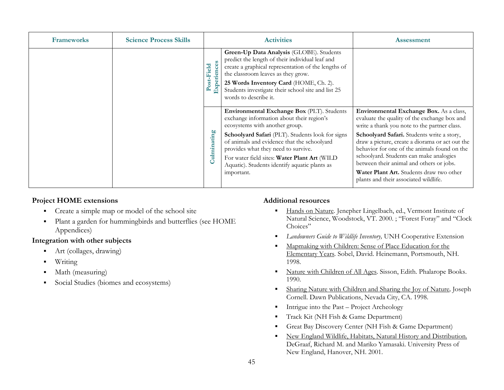| <b>Frameworks</b> | <b>Science Process Skills</b> |                       | <b>Activities</b>                                                                                                                                                                                                                                                                                                 | <b>Assessment</b>                                                                                                                                                                        |
|-------------------|-------------------------------|-----------------------|-------------------------------------------------------------------------------------------------------------------------------------------------------------------------------------------------------------------------------------------------------------------------------------------------------------------|------------------------------------------------------------------------------------------------------------------------------------------------------------------------------------------|
|                   |                               | Post-Field<br>面       | Green-Up Data Analysis (GLOBE). Students<br>predict the length of their individual leaf and<br>create a graphical representation of the lengths of<br>the classroom leaves as they grow.<br>25 Words Inventory Card (HOME, Ch. 2).<br>Students investigate their school site and list 25<br>words to describe it. |                                                                                                                                                                                          |
|                   |                               |                       | Environmental Exchange Box (PLT). Students<br>exchange information about their region's<br>ecosystems with another group.                                                                                                                                                                                         | Environmental Exchange Box. As a class,<br>evaluate the quality of the exchange box and<br>write a thank you note to the partner class.                                                  |
|                   |                               | òО<br>ating<br>Culmin | Schoolyard Safari (PLT). Students look for signs<br>of animals and evidence that the schoolyard<br>provides what they need to survive.                                                                                                                                                                            | Schoolyard Safari. Students write a story,<br>draw a picture, create a diorama or act out the<br>behavior for one of the animals found on the<br>schoolyard. Students can make analogies |
|                   |                               |                       | For water field sites: Water Plant Art (WILD<br>Aquatic). Students identify aquatic plants as<br>important.                                                                                                                                                                                                       | between their animal and others or jobs.<br>Water Plant Art. Students draw two other<br>plants and their associated wildlife.                                                            |

- $\blacksquare$ Create a simple map or model of the school site
- $\blacksquare$  Plant a garden for hummingbirds and butterflies (see HOME Appendices)

### **Integration with other subjects**

- $\blacksquare$ Art (collages, drawing)
- П Writing
- $\blacksquare$ Math (measuring)
- $\blacksquare$ Social Studies (biomes and ecosystems)

- $\blacksquare$  Hands on Nature*.* Jenepher Lingelbach, ed., Vermont Institute of Natural Science, Woodstock, VT. 2000. ; "Forest Foray" and "Clock Choices"
- $\blacksquare$ *Landowners Guide to Wildlife Inventory,* UNH Cooperative Extension
- $\blacksquare$  Mapmaking with Children: Sense of Place Education for the Elementary Years*.* Sobel, David. Heinemann, Portsmouth, NH. 1998.
- $\blacksquare$  Nature with Children of All Ages. Sisson, Edith. Phalarope Books. 1990.
- $\blacksquare$  Sharing Nature with Children and Sharing the Joy of Nature*,* Joseph Cornell. Dawn Publications, Nevada City, CA. 1998.
- $\blacksquare$ Intrigue into the Past – Project Archeology
- $\blacksquare$ Track Kit (NH Fish & Game Department)
- г Great Bay Discovery Center (NH Fish & Game Department)
- г New England Wildlife, Habitats, Natural History and Distribution. DeGraaf, Richard M. and Mariko Yamasaki. University Press of New England, Hanover, NH. 2001.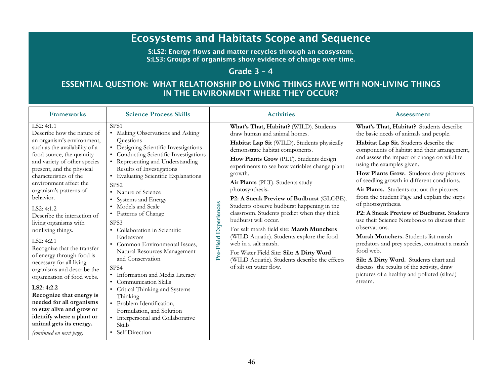# Ecosystems and Habitats Scope and Sequence

S:LS2: Energy flows and matter recycles through an ecosystem. S:LS3: Groups of organisms show evidence of change over time.

# Grade 3 – 4

# ESSENTIAL QUESTION: WHAT RELATIONSHIP DO LIVING THINGS HAVE WITH NON-LIVING THINGS IN THE ENVIRONMENT WHERE THEY OCCUR?

| <b>Frameworks</b>                                                                                                                                                                                                                                                                                                                                                                                                                                                                                                                                                                                                                                                                                                                                | <b>Science Process Skills</b>                                                                                                                                                                                                                                                                                                                                                                                                                                                                                                                                                                                                                                                                                                                                                |                          | <b>Activities</b>                                                                                                                                                                                                                                                                                                                                                                                                                                                                                                                                                                                                                                                                                                               | <b>Assessment</b>                                                                                                                                                                                                                                                                                                                                                                                                                                                                                                                                                                                                                                                                                                                                                                                                                       |
|--------------------------------------------------------------------------------------------------------------------------------------------------------------------------------------------------------------------------------------------------------------------------------------------------------------------------------------------------------------------------------------------------------------------------------------------------------------------------------------------------------------------------------------------------------------------------------------------------------------------------------------------------------------------------------------------------------------------------------------------------|------------------------------------------------------------------------------------------------------------------------------------------------------------------------------------------------------------------------------------------------------------------------------------------------------------------------------------------------------------------------------------------------------------------------------------------------------------------------------------------------------------------------------------------------------------------------------------------------------------------------------------------------------------------------------------------------------------------------------------------------------------------------------|--------------------------|---------------------------------------------------------------------------------------------------------------------------------------------------------------------------------------------------------------------------------------------------------------------------------------------------------------------------------------------------------------------------------------------------------------------------------------------------------------------------------------------------------------------------------------------------------------------------------------------------------------------------------------------------------------------------------------------------------------------------------|-----------------------------------------------------------------------------------------------------------------------------------------------------------------------------------------------------------------------------------------------------------------------------------------------------------------------------------------------------------------------------------------------------------------------------------------------------------------------------------------------------------------------------------------------------------------------------------------------------------------------------------------------------------------------------------------------------------------------------------------------------------------------------------------------------------------------------------------|
| LS2: 4:1.1<br>Describe how the nature of<br>an organism's environment,<br>such as the availability of a<br>food source, the quantity<br>and variety of other species<br>present, and the physical<br>characteristics of the<br>environment affect the<br>organism's patterns of<br>behavior.<br>LS2: 4:1.2<br>Describe the interaction of<br>living organisms with<br>nonliving things.<br>LS2: 4:2.1<br>Recognize that the transfer<br>of energy through food is<br>necessary for all living<br>organisms and describe the<br>organization of food webs.<br>LS2: 4:2.2<br>Recognize that energy is<br>needed for all organisms<br>to stay alive and grow or<br>identify where a plant or<br>animal gets its energy.<br>(continued on next page) | SPS <sub>1</sub><br>• Making Observations and Asking<br>Questions<br>• Designing Scientific Investigations<br>• Conducting Scientific Investigations<br>• Representing and Understanding<br>Results of Investigations<br>• Evaluating Scientific Explanations<br>SPS <sub>2</sub><br>• Nature of Science<br>• Systems and Energy<br>• Models and Scale<br>• Patterns of Change<br>SPS3<br>• Collaboration in Scientific<br>Endeavors<br>• Common Environmental Issues,<br>Natural Resources Management<br>and Conservation<br>SPS4<br>· Information and Media Literacy<br>• Communication Skills<br>• Critical Thinking and Systems<br>Thinking<br>· Problem Identification,<br>Formulation, and Solution<br>• Interpersonal and Collaborative<br>Skills<br>• Self Direction | Experiences<br>Pre-Field | What's That, Habitat? (WILD). Students<br>draw human and animal homes.<br>Habitat Lap Sit (WILD). Students physically<br>demonstrate habitat components.<br>How Plants Grow (PLT). Students design<br>experiments to see how variables change plant<br>growth.<br>Air Plants (PLT). Students study<br>photosynthesis.<br>P2: A Sneak Preview of Budburst (GLOBE).<br>Students observe budburst happening in the<br>classroom. Students predict when they think<br>budburst will occur.<br>For salt marsh field site: Marsh Munchers<br>(WILD Aquatic). Students explore the food<br>web in a salt marsh.<br>For Water Field Site: Silt: A Dirty Word<br>(WILD Aquatic). Students describe the effects<br>of silt on water flow. | What's That, Habitat? Students describe<br>the basic needs of animals and people.<br>Habitat Lap Sit. Students describe the<br>components of habitat and their arrangement,<br>and assess the impact of change on wildlife<br>using the examples given.<br>How Plants Grow. Students draw pictures<br>of seedling growth in different conditions.<br>Air Plants. Students cut out the pictures<br>from the Student Page and explain the steps<br>of photosynthesis.<br>P2: A Sneak Preview of Budburst. Students<br>use their Science Notebooks to discuss their<br>observations.<br>Marsh Munchers. Students list marsh<br>predators and prey species, construct a marsh<br>food web.<br>Silt: A Dirty Word. Students chart and<br>discuss the results of the activity, draw<br>pictures of a healthy and polluted (silted)<br>stream. |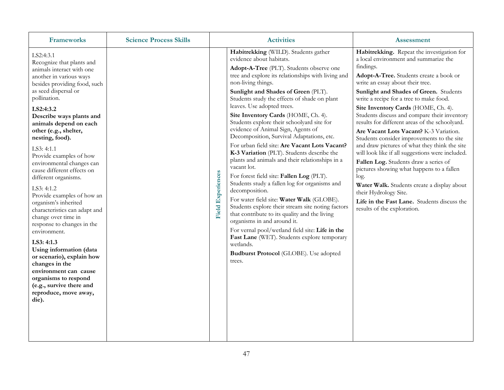| <b>Frameworks</b>                                                                                                                                                                                                                                                                                                                                                                                                                                                                                                                                                                                                                                                                                                                                                                                  | <b>Science Process Skills</b> |                          | <b>Activities</b>                                                                                                                                                                                                                                                                                                                                                                                                                                                                                                                                                                                                                                                                                                                                                                                                                                                                                                                                                                                                                                                                                                          | <b>Assessment</b>                                                                                                                                                                                                                                                                                                                                                                                                                                                                                                                                                                                                                                                                                                                                                                                                                                              |
|----------------------------------------------------------------------------------------------------------------------------------------------------------------------------------------------------------------------------------------------------------------------------------------------------------------------------------------------------------------------------------------------------------------------------------------------------------------------------------------------------------------------------------------------------------------------------------------------------------------------------------------------------------------------------------------------------------------------------------------------------------------------------------------------------|-------------------------------|--------------------------|----------------------------------------------------------------------------------------------------------------------------------------------------------------------------------------------------------------------------------------------------------------------------------------------------------------------------------------------------------------------------------------------------------------------------------------------------------------------------------------------------------------------------------------------------------------------------------------------------------------------------------------------------------------------------------------------------------------------------------------------------------------------------------------------------------------------------------------------------------------------------------------------------------------------------------------------------------------------------------------------------------------------------------------------------------------------------------------------------------------------------|----------------------------------------------------------------------------------------------------------------------------------------------------------------------------------------------------------------------------------------------------------------------------------------------------------------------------------------------------------------------------------------------------------------------------------------------------------------------------------------------------------------------------------------------------------------------------------------------------------------------------------------------------------------------------------------------------------------------------------------------------------------------------------------------------------------------------------------------------------------|
| LS2:4:3.1<br>Recognize that plants and<br>animals interact with one<br>another in various ways<br>besides providing food, such<br>as seed dispersal or<br>pollination.<br>LS2:4:3.2<br>Describe ways plants and<br>animals depend on each<br>other (e.g., shelter,<br>nesting, food).<br>LS3: 4:1.1<br>Provide examples of how<br>environmental changes can<br>cause different effects on<br>different organisms.<br>LS3: 4:1.2<br>Provide examples of how an<br>organism's inherited<br>characteristics can adapt and<br>change over time in<br>response to changes in the<br>environment.<br>LS3: 4:1.3<br>Using information (data<br>or scenario), explain how<br>changes in the<br>environment can cause<br>organisms to respond<br>(e.g., survive there and<br>reproduce, move away,<br>die). |                               | <b>Field Experiences</b> | Habitrekking (WILD). Students gather<br>evidence about habitats.<br>Adopt-A-Tree (PLT). Students observe one<br>tree and explore its relationships with living and<br>non-living things.<br>Sunlight and Shades of Green (PLT).<br>Students study the effects of shade on plant<br>leaves. Use adopted trees.<br>Site Inventory Cards (HOME, Ch. 4).<br>Students explore their schoolyard site for<br>evidence of Animal Sign, Agents of<br>Decomposition, Survival Adaptations, etc.<br>For urban field site: Are Vacant Lots Vacant?<br>K-3 Variation (PLT). Students describe the<br>plants and animals and their relationships in a<br>vacant lot.<br>For forest field site: Fallen Log (PLT).<br>Students study a fallen log for organisms and<br>decomposition.<br>For water field site: Water Walk (GLOBE).<br>Students explore their stream site noting factors<br>that contribute to its quality and the living<br>organisms in and around it.<br>For vernal pool/wetland field site: Life in the<br>Fast Lane (WET). Students explore temporary<br>wetlands.<br>Budburst Protocol (GLOBE). Use adopted<br>trees. | Habitrekking. Repeat the investigation for<br>a local environment and summarize the<br>findings.<br>Adopt-A-Tree. Students create a book or<br>write an essay about their tree.<br>Sunlight and Shades of Green. Students<br>write a recipe for a tree to make food.<br>Site Inventory Cards (HOME, Ch. 4).<br>Students discuss and compare their inventory<br>results for different areas of the schoolyard.<br>Are Vacant Lots Vacant? K-3 Variation.<br>Students consider improvements to the site<br>and draw pictures of what they think the site<br>will look like if all suggestions were included.<br>Fallen Log. Students draw a series of<br>pictures showing what happens to a fallen<br>log.<br>Water Walk. Students create a display about<br>their Hydrology Site.<br>Life in the Fast Lane. Students discuss the<br>results of the exploration. |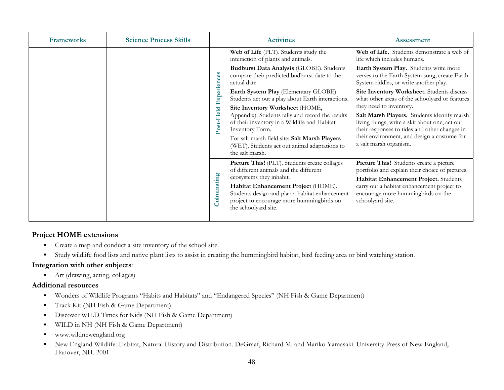| <b>Frameworks</b> | <b>Science Process Skills</b> |                                              | <b>Activities</b>                                                                                                                                                                                                                                                                 | <b>Assessment</b>                                                                                                                                                                                                                                  |
|-------------------|-------------------------------|----------------------------------------------|-----------------------------------------------------------------------------------------------------------------------------------------------------------------------------------------------------------------------------------------------------------------------------------|----------------------------------------------------------------------------------------------------------------------------------------------------------------------------------------------------------------------------------------------------|
|                   |                               |                                              | Web of Life (PLT). Students study the<br>interaction of plants and animals.                                                                                                                                                                                                       | Web of Life. Students demonstrate a web of<br>life which includes humans.                                                                                                                                                                          |
|                   |                               | Experiences<br>Post-Field<br>ulminating<br>Ó | Budburst Data Analysis (GLOBE). Students<br>compare their predicted budburst date to the<br>actual date.                                                                                                                                                                          | Earth System Play. Students write more<br>verses to the Earth System song, create Earth<br>System riddles, or write another play.                                                                                                                  |
|                   |                               |                                              | Earth System Play (Elementary GLOBE).<br>Students act out a play about Earth interactions.                                                                                                                                                                                        | Site Inventory Worksheet. Students discuss<br>what other areas of the schoolyard or features                                                                                                                                                       |
|                   |                               |                                              | Site Inventory Worksheet (HOME,<br>Appendix). Students tally and record the results<br>of their inventory in a Wildlife and Habitat<br>Inventory Form.<br>For salt marsh field site: Salt Marsh Players<br>(WET). Students act out animal adaptations to<br>the salt marsh.       | they need to inventory.<br>Salt Marsh Players. Students identify marsh<br>living things, write a skit about one, act out<br>their responses to tides and other changes in<br>their environment, and design a costume for<br>a salt marsh organism. |
|                   |                               |                                              | Picture This! (PLT). Students create collages<br>of different animals and the different<br>ecosystems they inhabit.<br>Habitat Enhancement Project (HOME).<br>Students design and plan a habitat enhancement<br>project to encourage more hummingbirds on<br>the schoolyard site. | Picture This! Students create a picture<br>portfolio and explain their choice of pictures.<br>Habitat Enhancement Project. Students<br>carry out a habitat enhancement project to<br>encourage more hummingbirds on the<br>schoolyard site.        |

- $\blacksquare$ Create a map and conduct a site inventory of the school site.
- $\blacksquare$ Study wildlife food lists and native plant lists to assist in creating the hummingbird habitat, bird feeding area or bird watching station.

### **Integration with other subjects**:

■ Art (drawing, acting, collages)

- $\blacksquare$ Wonders of Wildlife Programs "Habits and Habitats" and "Endangered Species" (NH Fish & Game Department)
- $\blacksquare$ Track Kit (NH Fish & Game Department)
- $\blacksquare$ Discover WILD Times for Kids (NH Fish & Game Department)
- $\blacksquare$ WILD in NH (NH Fish & Game Department)
- ٠ www.wildnewengland.org
- $\blacksquare$  New England Wildlife: Habitat, Natural History and Distribution. DeGraaf, Richard M. and Mariko Yamasaki. University Press of New England, Hanover, NH. 2001.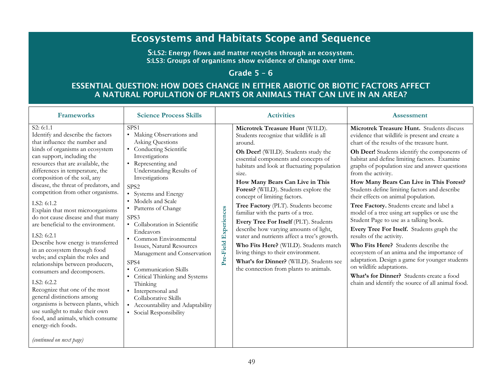# Ecosystems and Habitats Scope and Sequence

S:LS2: Energy flows and matter recycles through an ecosystem. S:LS3: Groups of organisms show evidence of change over time.

# Grade 5 – 6

# ESSENTIAL QUESTION: HOW DOES CHANGE IN EITHER ABIOTIC OR BIOTIC FACTORS AFFECT A NATURAL POPULATION OF PLANTS OR ANIMALS THAT CAN LIVE IN AN AREA?

| <b>Frameworks</b>                                                                                                                                                                                                                                                                                                                                                                                                                                                                                                                                                                                                                                                                                                                                                                                                                                                                                           | <b>Science Process Skills</b>                                                                                                                                                                                                                                                                                                                                                                                                                                                                                                                                                                                                   | <b>Activities</b>                                                                                                                                                                                                                                                                                                                                                                                                                                                                                                                                                                                                                                                                                                                                       | <b>Assessment</b>                                                                                                                                                                                                                                                                                                                                                                                                                                                                                                                                                                                                                                                                                                                                                                                                                                                                                                                            |
|-------------------------------------------------------------------------------------------------------------------------------------------------------------------------------------------------------------------------------------------------------------------------------------------------------------------------------------------------------------------------------------------------------------------------------------------------------------------------------------------------------------------------------------------------------------------------------------------------------------------------------------------------------------------------------------------------------------------------------------------------------------------------------------------------------------------------------------------------------------------------------------------------------------|---------------------------------------------------------------------------------------------------------------------------------------------------------------------------------------------------------------------------------------------------------------------------------------------------------------------------------------------------------------------------------------------------------------------------------------------------------------------------------------------------------------------------------------------------------------------------------------------------------------------------------|---------------------------------------------------------------------------------------------------------------------------------------------------------------------------------------------------------------------------------------------------------------------------------------------------------------------------------------------------------------------------------------------------------------------------------------------------------------------------------------------------------------------------------------------------------------------------------------------------------------------------------------------------------------------------------------------------------------------------------------------------------|----------------------------------------------------------------------------------------------------------------------------------------------------------------------------------------------------------------------------------------------------------------------------------------------------------------------------------------------------------------------------------------------------------------------------------------------------------------------------------------------------------------------------------------------------------------------------------------------------------------------------------------------------------------------------------------------------------------------------------------------------------------------------------------------------------------------------------------------------------------------------------------------------------------------------------------------|
| S2: 6:1.1<br>Identify and describe the factors<br>that influence the number and<br>kinds of organisms an ecosystem<br>can support, including the<br>resources that are available, the<br>differences in temperature, the<br>composition of the soil, any<br>disease, the threat of predators, and<br>competition from other organisms.<br>LS2: $6:1.2$<br>Explain that most microorganisms<br>do not cause disease and that many<br>are beneficial to the environment.<br>LS2: 6:2.1<br>Describe how energy is transferred<br>in an ecosystem through food<br>webs; and explain the roles and<br>relationships between producers,<br>consumers and decomposers.<br>LS2: 6:2.2<br>Recognize that one of the most<br>general distinctions among<br>organisms is between plants, which<br>use sunlight to make their own<br>food, and animals, which consume<br>energy-rich foods.<br>(continued on next page) | SPS <sub>1</sub><br>• Making Observations and<br><b>Asking Questions</b><br>• Conducting Scientific<br>Investigations<br>• Representing and<br>Understanding Results of<br>Investigations<br>SPS <sub>2</sub><br>• Systems and Energy<br>• Models and Scale<br>• Patterns of Change<br>SPS3<br>• Collaboration in Scientific<br>Endeavors<br>• Common Environmental<br>Issues, Natural Resources<br>Management and Conservation<br>SPS4<br>• Communication Skills<br>• Critical Thinking and Systems<br>Thinking<br>• Interpersonal and<br>Collaborative Skills<br>• Accountability and Adaptability<br>• Social Responsibility | Microtrek Treasure Hunt (WILD).<br>Students recognize that wildlife is all<br>around.<br>Oh Deer! (WILD). Students study the<br>essential components and concepts of<br>habitats and look at fluctuating population<br>size.<br>How Many Bears Can Live in This<br>Forest? (WILD). Students explore the<br>concept of limiting factors.<br>Tree Factory (PLT). Students become<br>Experiences<br>familiar with the parts of a tree.<br>Every Tree For Itself (PLT). Students<br>describe how varying amounts of light,<br>water and nutrients affect a tree's growth.<br>Pre-Field<br>Who Fits Here? (WILD). Students match<br>living things to their environment.<br>What's for Dinner? (WILD). Students see<br>the connection from plants to animals. | Microtrek Treasure Hunt. Students discuss<br>evidence that wildlife is present and create a<br>chart of the results of the treasure hunt.<br>Oh Deer! Students identify the components of<br>habitat and define limiting factors. Examine<br>graphs of population size and answer questions<br>from the activity.<br>How Many Bears Can Live in This Forest?<br>Students define limiting factors and describe<br>their effects on animal population.<br>Tree Factory. Students create and label a<br>model of a tree using art supplies or use the<br>Student Page to use as a talking book.<br>Every Tree For Itself. Students graph the<br>results of the activity.<br>Who Fits Here? Students describe the<br>ecosystem of an anima and the importance of<br>adaptation. Design a game for younger students<br>on wildlife adaptations.<br>What's for Dinner? Students create a food<br>chain and identify the source of all animal food. |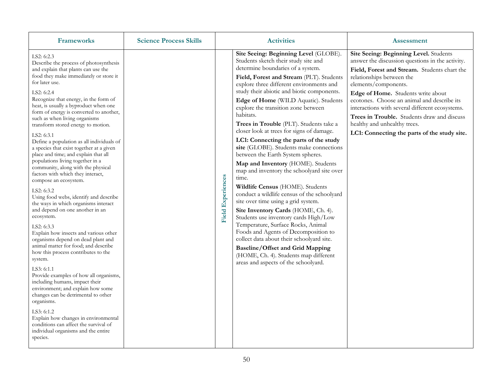| <b>Frameworks</b>                                                                                                                                                                                                                                                                                                                                                                                                                                                                                                                                                                                                                                                                                                                                                                                                                                                                                                                                                                                                                                                                                                                                                                                                                                                                                                                              | <b>Science Process Skills</b> |                          | <b>Activities</b>                                                                                                                                                                                                                                                                                                                                                                                                                                                                                                                                                                                                                                                                                                                                                                                                                                                                                                                                                                                                                                                                                                                     | <b>Assessment</b>                                                                                                                                                                                                                                                                                                                                                                                                                                                      |
|------------------------------------------------------------------------------------------------------------------------------------------------------------------------------------------------------------------------------------------------------------------------------------------------------------------------------------------------------------------------------------------------------------------------------------------------------------------------------------------------------------------------------------------------------------------------------------------------------------------------------------------------------------------------------------------------------------------------------------------------------------------------------------------------------------------------------------------------------------------------------------------------------------------------------------------------------------------------------------------------------------------------------------------------------------------------------------------------------------------------------------------------------------------------------------------------------------------------------------------------------------------------------------------------------------------------------------------------|-------------------------------|--------------------------|---------------------------------------------------------------------------------------------------------------------------------------------------------------------------------------------------------------------------------------------------------------------------------------------------------------------------------------------------------------------------------------------------------------------------------------------------------------------------------------------------------------------------------------------------------------------------------------------------------------------------------------------------------------------------------------------------------------------------------------------------------------------------------------------------------------------------------------------------------------------------------------------------------------------------------------------------------------------------------------------------------------------------------------------------------------------------------------------------------------------------------------|------------------------------------------------------------------------------------------------------------------------------------------------------------------------------------------------------------------------------------------------------------------------------------------------------------------------------------------------------------------------------------------------------------------------------------------------------------------------|
| LS2: 6:2.3<br>Describe the process of photosynthesis<br>and explain that plants can use the<br>food they make immediately or store it<br>for later use.<br>LS2: 6:2.4<br>Recognize that energy, in the form of<br>heat, is usually a byproduct when one<br>form of energy is converted to another,<br>such as when living organisms<br>transform stored energy to motion.<br>LS2: 6:3.1<br>Define a population as all individuals of<br>a species that exist together at a given<br>place and time; and explain that all<br>populations living together in a<br>community, along with the physical<br>factors with which they interact,<br>compose an ecosystem.<br>LS2: 6:3.2<br>Using food webs, identify and describe<br>the ways in which organisms interact<br>and depend on one another in an<br>ecosystem.<br>LS2: 6:3.3<br>Explain how insects and various other<br>organisms depend on dead plant and<br>animal matter for food; and describe<br>how this process contributes to the<br>system.<br>LS3: 6:1.1<br>Provide examples of how all organisms,<br>including humans, impact their<br>environment; and explain how some<br>changes can be detrimental to other<br>organisms.<br>LS3: 6:1.2<br>Explain how changes in environmental<br>conditions can affect the survival of<br>individual organisms and the entire<br>species. |                               | <b>Field Experiences</b> | Site Seeing: Beginning Level (GLOBE).<br>Students sketch their study site and<br>determine boundaries of a system.<br>Field, Forest and Stream (PLT). Students<br>explore three different environments and<br>study their abiotic and biotic components.<br>Edge of Home (WILD Aquatic). Students<br>explore the transition zone between<br>habitats.<br>Trees in Trouble (PLT). Students take a<br>closer look at trees for signs of damage.<br>LC1: Connecting the parts of the study<br>site (GLOBE). Students make connections<br>between the Earth System spheres.<br>Map and Inventory (HOME). Students<br>map and inventory the schoolyard site over<br>time.<br>Wildlife Census (HOME). Students<br>conduct a wildlife census of the schoolyard<br>site over time using a grid system.<br>Site Inventory Cards (HOME, Ch. 4).<br>Students use inventory cards High/Low<br>Temperature, Surface Rocks, Animal<br>Foods and Agents of Decomposition to<br>collect data about their schoolyard site.<br><b>Baseline/Offset and Grid Mapping</b><br>(HOME, Ch. 4). Students map different<br>areas and aspects of the schoolyard. | Site Seeing: Beginning Level. Students<br>answer the discussion questions in the activity.<br>Field, Forest and Stream. Students chart the<br>relationships between the<br>elements/components.<br>Edge of Home. Students write about<br>ecotones. Choose an animal and describe its<br>interactions with several different ecosystems.<br>Trees in Trouble. Students draw and discuss<br>healthy and unhealthy trees.<br>LC1: Connecting the parts of the study site. |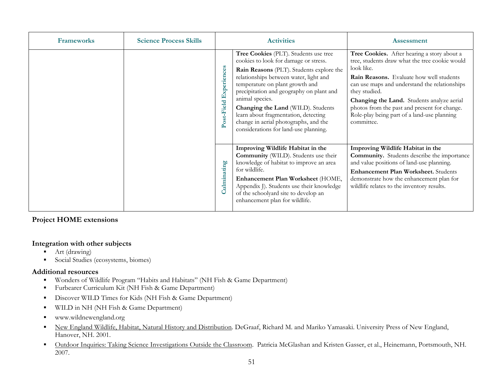| <b>Frameworks</b> | <b>Science Process Skills</b> | <b>Activities</b>         |                                                                                                                                                                                                                                                                                                                                                                                                                                        | <b>Assessment</b>                                                                                                                                                                                                                                                                                                                                                                           |
|-------------------|-------------------------------|---------------------------|----------------------------------------------------------------------------------------------------------------------------------------------------------------------------------------------------------------------------------------------------------------------------------------------------------------------------------------------------------------------------------------------------------------------------------------|---------------------------------------------------------------------------------------------------------------------------------------------------------------------------------------------------------------------------------------------------------------------------------------------------------------------------------------------------------------------------------------------|
|                   |                               | Experiences<br>Post-Field | Tree Cookies (PLT). Students use tree<br>cookies to look for damage or stress.<br>Rain Reasons (PLT). Students explore the<br>relationships between water, light and<br>temperature on plant growth and<br>precipitation and geography on plant and<br>animal species.<br>Changing the Land (WILD). Students<br>learn about fragmentation, detecting<br>change in aerial photographs, and the<br>considerations for land-use planning. | Tree Cookies. After hearing a story about a<br>tree, students draw what the tree cookie would<br>look like.<br><b>Rain Reasons.</b> Evaluate how well students<br>can use maps and understand the relationships<br>they studied.<br>Changing the Land. Students analyze aerial<br>photos from the past and present for change.<br>Role-play being part of a land-use planning<br>committee. |
|                   |                               | ulminating                | Improving Wildlife Habitat in the<br><b>Community</b> (WILD). Students use their<br>knowledge of habitat to improve an area<br>for wildlife.<br>Enhancement Plan Worksheet (HOME,<br>Appendix J). Students use their knowledge<br>of the schoolyard site to develop an<br>enhancement plan for wildlife.                                                                                                                               | Improving Wildlife Habitat in the<br><b>Community.</b> Students describe the importance<br>and value positions of land-use planning.<br>Enhancement Plan Worksheet. Students<br>demonstrate how the enhancement plan for<br>wildlife relates to the inventory results.                                                                                                                      |

### **Integration with other subjects**

- $\blacksquare$ Art (drawing)
- $\blacksquare$ Social Studies (ecosystems, biomes)

- $\blacksquare$ Wonders of Wildlife Program "Habits and Habitats" (NH Fish & Game Department)
- $\blacksquare$ Furbearer Curriculum Kit (NH Fish & Game Department)
- $\blacksquare$ Discover WILD Times for Kids (NH Fish & Game Department)
- $\blacksquare$ WILD in NH (NH Fish & Game Department)
- $\blacksquare$ www.wildnewengland.org
- $\blacksquare$  New England Wildlife, Habitat, Natural History and Distribution. DeGraaf, Richard M. and Mariko Yamasaki. University Press of New England, Hanover, NH. 2001.
- $\blacksquare$  Outdoor Inquiries: Taking Science Investigations Outside the Classroom. Patricia McGlashan and Kristen Gasser, et al., Heinemann, Portsmouth, NH. 2007.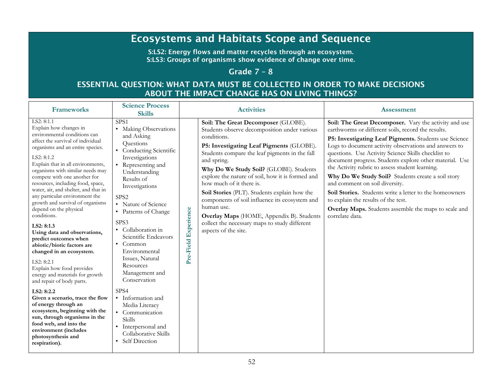# Ecosystems and Habitats Scope and Sequence

S:LS2: Energy flows and matter recycles through an ecosystem. S:LS3: Groups of organisms show evidence of change over time.

### Grade 7 – 8

# ESSENTIAL QUESTION: WHAT DATA MUST BE COLLECTED IN ORDER TO MAKE DECISIONS ABOUT THE IMPACT CHANGE HAS ON LIVING THINGS?

| <b>Frameworks</b>                                                                                                                                                                                                                                                                                                                                                                                                                                                                                                                                                                                                                                                                                                                                                                                                                                                                                                                                  | <b>Science Process</b><br><b>Skills</b>                                                                                                                                                                                                                                                                                                                                                                                                                                                                                                                             | <b>Activities</b>       |                                                                                                                                                                                                                                                                                                                                                                                                                                                                                                                                                                                  | <b>Assessment</b>                                                                                                                                                                                                                                                                                                                                                                                                                                                                                                                                                                                                                                                        |
|----------------------------------------------------------------------------------------------------------------------------------------------------------------------------------------------------------------------------------------------------------------------------------------------------------------------------------------------------------------------------------------------------------------------------------------------------------------------------------------------------------------------------------------------------------------------------------------------------------------------------------------------------------------------------------------------------------------------------------------------------------------------------------------------------------------------------------------------------------------------------------------------------------------------------------------------------|---------------------------------------------------------------------------------------------------------------------------------------------------------------------------------------------------------------------------------------------------------------------------------------------------------------------------------------------------------------------------------------------------------------------------------------------------------------------------------------------------------------------------------------------------------------------|-------------------------|----------------------------------------------------------------------------------------------------------------------------------------------------------------------------------------------------------------------------------------------------------------------------------------------------------------------------------------------------------------------------------------------------------------------------------------------------------------------------------------------------------------------------------------------------------------------------------|--------------------------------------------------------------------------------------------------------------------------------------------------------------------------------------------------------------------------------------------------------------------------------------------------------------------------------------------------------------------------------------------------------------------------------------------------------------------------------------------------------------------------------------------------------------------------------------------------------------------------------------------------------------------------|
| LS2: 8:1.1<br>Explain how changes in<br>environmental conditions can<br>affect the survival of individual<br>organisms and an entire species.<br>LS2: 8:1.2<br>Explain that in all environments,<br>organisms with similar needs may<br>compete with one another for<br>resources, including food, space,<br>water, air, and shelter, and that in<br>any particular environment the<br>growth and survival of organisms<br>depend on the physical<br>conditions.<br>LS2: 8:1.3<br>Using data and observations,<br>predict outcomes when<br>abiotic/biotic factors are<br>changed in an ecosystem.<br>LS2: 8:2.1<br>Explain how food provides<br>energy and materials for growth<br>and repair of body parts.<br>LS2: 8:2.2<br>Given a scenario, trace the flow<br>of energy through an<br>ecosystem, beginning with the<br>sun, through organisms in the<br>food web, and into the<br>environment (includes<br>photosynthesis and<br>respiration). | SPS <sub>1</sub><br>• Making Observations<br>and Asking<br>Questions<br>• Conducting Scientific<br>Investigations<br>Representing and<br>Understanding<br>Results of<br>Investigations<br>SPS <sub>2</sub><br>• Nature of Science<br>• Patterns of Change<br>SPS3<br>• Collaboration in<br>Scientific Endeavors<br>$\bullet$ Common<br>Environmental<br>Issues, Natural<br>Resources<br>Management and<br>Conservation<br>SPS4<br>• Information and<br>Media Literacy<br>• Communication<br>Skills<br>• Interpersonal and<br>Collaborative Skills<br>Self Direction | Experience<br>Pre-Field | Soil: The Great Decomposer (GLOBE).<br>Students observe decomposition under various<br>conditions.<br>P5: Investigating Leaf Pigments (GLOBE).<br>Students compare the leaf pigments in the fall<br>and spring.<br>Why Do We Study Soil? (GLOBE). Students<br>explore the nature of soil, how it is formed and<br>how much of it there is.<br>Soil Stories (PLT). Students explain how the<br>components of soil influence its ecosystem and<br>human use.<br>Overlay Maps (HOME, Appendix B). Students<br>collect the necessary maps to study different<br>aspects of the site. | Soil: The Great Decomposer. Vary the activity and use<br>earthworms or different soils, record the results.<br>P5: Investigating Leaf Pigments. Students use Science<br>Logs to document activity observations and answers to<br>questions. Use Activity Science Skills checklist to<br>document progress. Students explore other material. Use<br>the Activity rubric to assess student learning.<br>Why Do We Study Soil? Students create a soil story<br>and comment on soil diversity.<br>Soil Stories. Students write a letter to the homeowners<br>to explain the results of the test.<br>Overlay Maps. Students assemble the maps to scale and<br>correlate data. |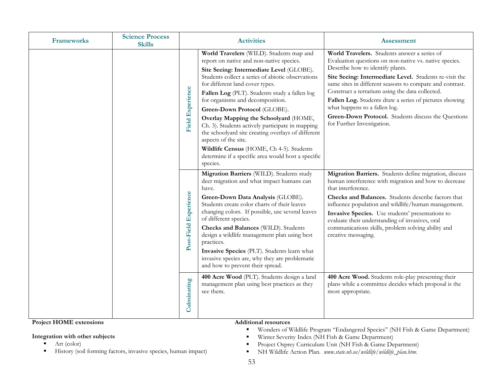| <b>Frameworks</b> | <b>Science Process</b><br><b>Skills</b> | <b>Activities</b>     |                                                                                                                                                                                                                                                                                                                                                                                                                                                                                                                                                                                                                                        | <b>Assessment</b>                                                                                                                                                                                                                                                                                                                                                                                                                                                                                   |
|-------------------|-----------------------------------------|-----------------------|----------------------------------------------------------------------------------------------------------------------------------------------------------------------------------------------------------------------------------------------------------------------------------------------------------------------------------------------------------------------------------------------------------------------------------------------------------------------------------------------------------------------------------------------------------------------------------------------------------------------------------------|-----------------------------------------------------------------------------------------------------------------------------------------------------------------------------------------------------------------------------------------------------------------------------------------------------------------------------------------------------------------------------------------------------------------------------------------------------------------------------------------------------|
|                   | <b>Field Experience</b>                 |                       | World Travelers (WILD). Students map and<br>report on native and non-native species.<br>Site Seeing: Intermediate Level (GLOBE).<br>Students collect a series of abiotic observations<br>for different land cover types.<br>Fallen Log (PLT). Students study a fallen log<br>for organisms and decomposition.<br>Green-Down Protocol (GLOBE).<br>Overlay Mapping the Schoolyard (HOME,<br>Ch. 3). Students actively participate in mapping<br>the schoolyard site creating overlays of different<br>aspects of the site.<br>Wildlife Census (HOME, Ch 4-5). Students<br>determine if a specific area would host a specific<br>species. | World Travelers. Students answer a series of<br>Evaluation questions on non-native vs. native species.<br>Describe how to identify plants.<br>Site Seeing: Intermediate Level. Students re-visit the<br>same sites in different seasons to compare and contrast.<br>Construct a terrarium using the data collected.<br>Fallen Log. Students draw a series of pictures showing<br>what happens to a fallen log.<br>Green-Down Protocol. Students discuss the Questions<br>for Further Investigation. |
|                   |                                         | Post-Field Experience | Migration Barriers (WILD). Students study<br>deer migration and what impact humans can<br>have.<br>Green-Down Data Analysis (GLOBE).<br>Students create color charts of their leaves<br>changing colors. If possible, use several leaves<br>of different species.<br>Checks and Balances (WILD). Students<br>design a wildlife management plan using best<br>practices.<br>Invasive Species (PLT). Students learn what<br>invasive species are, why they are problematic<br>and how to prevent their spread.                                                                                                                           | Migration Barriers. Students define migration, discuss<br>human interference with migration and how to decrease<br>that interference.<br>Checks and Balances. Students describe factors that<br>influence population and wildlife/human management.<br>Invasive Species. Use students' presentations to<br>evaluate their understanding of invasives, oral<br>communications skills, problem solving ability and<br>creative messaging.                                                             |
|                   |                                         | Culminating           | 400 Acre Wood (PLT). Students design a land<br>management plan using best practices as they<br>see them.                                                                                                                                                                                                                                                                                                                                                                                                                                                                                                                               | 400 Acre Wood. Students role-play presenting their<br>plans while a committee decides which proposal is the<br>most appropriate.                                                                                                                                                                                                                                                                                                                                                                    |

#### **Additional resources**

#### **Integration with other subjects**

- $\blacksquare$ Art (color)
- ٠ History (soil forming factors, invasive species, human impact)
- $\blacksquare$ Wonders of Wildlife Program "Endangered Species" (NH Fish & Game Department)
- $\blacksquare$ Winter Severity Index (NH Fish & Game Department)
- $\blacksquare$ Project Osprey Curriculum Unit (NH Fish & Game Department)
- $\blacksquare$ NH Wildlife Action Plan. *www.state.nh.us/wildlife/wildlife\_plan.htm*.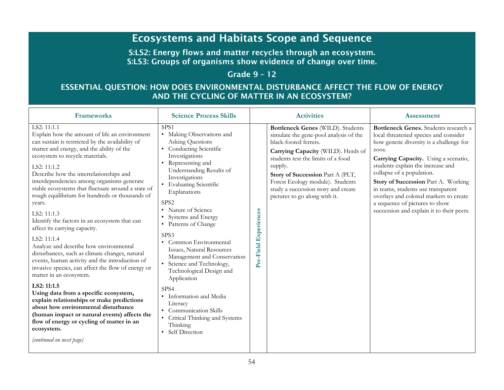# Ecosystems and Habitats Scope and Sequence

S:LS2: Energy flows and matter recycles through an ecosystem. S:LS3: Groups of organisms show evidence of change over time.

# Grade 9 – 12

# ESSENTIAL QUESTION: HOW DOES ENVIRONMENTAL DISTURBANCE AFFECT THE FLOW OF ENERGY AND THE CYCLING OF MATTER IN AN ECOSYSTEM?

| <b>Frameworks</b><br><b>Science Process Skills</b>                                                                                                                                                                                                                                                                                                                                                                                                                                                                                                                                                                                                                                                                                                                                                                                                                                                                                                                                                                                                           |                                                                                                                                                                                                                                                                                                                                                                                                                                                                                                                                                                                                                                                           | <b>Activities</b>        |                                                                                                                                                                                                                                                                                                                                             | <b>Assessment</b>                                                                                                                                                                                                                                                                                                                                                                                                                                   |
|--------------------------------------------------------------------------------------------------------------------------------------------------------------------------------------------------------------------------------------------------------------------------------------------------------------------------------------------------------------------------------------------------------------------------------------------------------------------------------------------------------------------------------------------------------------------------------------------------------------------------------------------------------------------------------------------------------------------------------------------------------------------------------------------------------------------------------------------------------------------------------------------------------------------------------------------------------------------------------------------------------------------------------------------------------------|-----------------------------------------------------------------------------------------------------------------------------------------------------------------------------------------------------------------------------------------------------------------------------------------------------------------------------------------------------------------------------------------------------------------------------------------------------------------------------------------------------------------------------------------------------------------------------------------------------------------------------------------------------------|--------------------------|---------------------------------------------------------------------------------------------------------------------------------------------------------------------------------------------------------------------------------------------------------------------------------------------------------------------------------------------|-----------------------------------------------------------------------------------------------------------------------------------------------------------------------------------------------------------------------------------------------------------------------------------------------------------------------------------------------------------------------------------------------------------------------------------------------------|
| LS2: 11:1.1<br>Explain how the amount of life an environment<br>can sustain is restricted by the availability of<br>matter and energy, and the ability of the<br>ecosystem to recycle materials.<br>LS2: 11:1.2<br>Describe how the interrelationships and<br>interdependencies among organisms generate<br>stable ecosystems that fluctuate around a state of<br>rough equilibrium for hundreds or thousands of<br>years.<br>LS2: 11:1.3<br>Identify the factors in an ecosystem that can<br>affect its carrying capacity.<br>LS2: 11:1.4<br>Analyze and describe how environmental<br>disturbances, such as climate changes, natural<br>events, human activity and the introduction of<br>invasive species, can affect the flow of energy or<br>matter in an ecosystem.<br>LS2: 11:1.5<br>Using data from a specific ecosystem,<br>explain relationships or make predictions<br>about how environmental disturbance<br>(human impact or natural events) affects the<br>flow of energy or cycling of matter in an<br>ecosystem.<br>(continued on next page) | SPS <sub>1</sub><br>• Making Observations and<br><b>Asking Questions</b><br>Conducting Scientific<br>Investigations<br>Representing and<br>Understanding Results of<br>Investigations<br><b>Evaluating Scientific</b><br>Explanations<br>SPS <sub>2</sub><br>• Nature of Science<br>Systems and Energy<br>• Patterns of Change<br>SPS3<br>Common Environmental<br>Issues, Natural Resources<br>Management and Conservation<br>• Science and Technology,<br>Technological Design and<br>Application<br>SPS <sub>4</sub><br>Information and Media<br>Literacy<br><b>Communication Skills</b><br>Critical Thinking and Systems<br>Thinking<br>Self Direction | Experiences<br>Pre-Field | Bottleneck Genes (WILD). Students<br>simulate the gene-pool analysis of the<br>black-footed ferrets.<br>Carrying Capacity (WILD). Herds of<br>students test the limits of a food<br>supply.<br>Story of Succession Part A (PLT,<br>Forest Ecology module). Students<br>study a succession story and create<br>pictures to go along with it. | Bottleneck Genes. Students research a<br>local threatened species and consider<br>how genetic diversity is a challenge for<br>ZOOS.<br>Carrying Capacity. Using a scenario,<br>students explain the increase and<br>collapse of a population.<br>Story of Succession Part A. Working<br>in teams, students use transparent<br>overlays and colored markers to create<br>a sequence of pictures to show<br>succession and explain it to their peers. |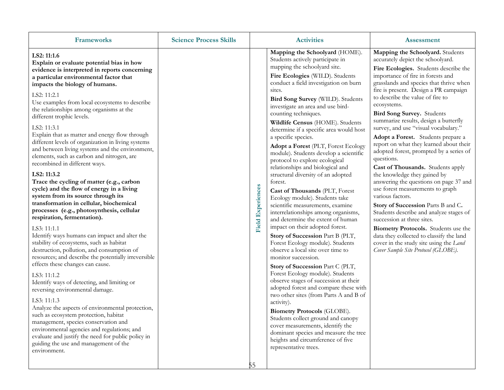| <b>Frameworks</b>                                                                                                                                                                                                                                                                                                                                                                                                                                                                                                                                                                                                                                                                                                                                                                                                                                                                                                                                                                                                                                                                                                                                                                                                                                                                                                                                                                                                                                                                                                                       | <b>Science Process Skills</b> |                                | <b>Activities</b>                                                                                                                                                                                                                                                                                                                                                                                                                                                                                                                                                                                                                                                                                                                                                                                                                                                                                                                                                                                                                                                                                                                                                                                                                                                                                                                                                                                     | <b>Assessment</b>                                                                                                                                                                                                                                                                                                                                                                                                                                                                                                                                                                                                                                                                                                                                                                                                                                                                                                                                                                                              |
|-----------------------------------------------------------------------------------------------------------------------------------------------------------------------------------------------------------------------------------------------------------------------------------------------------------------------------------------------------------------------------------------------------------------------------------------------------------------------------------------------------------------------------------------------------------------------------------------------------------------------------------------------------------------------------------------------------------------------------------------------------------------------------------------------------------------------------------------------------------------------------------------------------------------------------------------------------------------------------------------------------------------------------------------------------------------------------------------------------------------------------------------------------------------------------------------------------------------------------------------------------------------------------------------------------------------------------------------------------------------------------------------------------------------------------------------------------------------------------------------------------------------------------------------|-------------------------------|--------------------------------|-------------------------------------------------------------------------------------------------------------------------------------------------------------------------------------------------------------------------------------------------------------------------------------------------------------------------------------------------------------------------------------------------------------------------------------------------------------------------------------------------------------------------------------------------------------------------------------------------------------------------------------------------------------------------------------------------------------------------------------------------------------------------------------------------------------------------------------------------------------------------------------------------------------------------------------------------------------------------------------------------------------------------------------------------------------------------------------------------------------------------------------------------------------------------------------------------------------------------------------------------------------------------------------------------------------------------------------------------------------------------------------------------------|----------------------------------------------------------------------------------------------------------------------------------------------------------------------------------------------------------------------------------------------------------------------------------------------------------------------------------------------------------------------------------------------------------------------------------------------------------------------------------------------------------------------------------------------------------------------------------------------------------------------------------------------------------------------------------------------------------------------------------------------------------------------------------------------------------------------------------------------------------------------------------------------------------------------------------------------------------------------------------------------------------------|
| LS2: 11:1.6<br>Explain or evaluate potential bias in how<br>evidence is interpreted in reports concerning<br>a particular environmental factor that<br>impacts the biology of humans.<br>LS2: 11:2.1<br>Use examples from local ecosystems to describe<br>the relationships among organisms at the<br>different trophic levels.<br>LS2: 11:3.1<br>Explain that as matter and energy flow through<br>different levels of organization in living systems<br>and between living systems and the environment,<br>elements, such as carbon and nitrogen, are<br>recombined in different ways.<br>LS2: 11:3.2<br>Trace the cycling of matter (e.g., carbon<br>cycle) and the flow of energy in a living<br>system from its source through its<br>transformation in cellular, biochemical<br>processes (e.g., photosynthesis, cellular<br>respiration, fermentation).<br>LS3: 11:1.1<br>Identify ways humans can impact and alter the<br>stability of ecosystems, such as habitat<br>destruction, pollution, and consumption of<br>resources; and describe the potentially irreversible<br>effects these changes can cause.<br>LS3: 11:1.2<br>Identify ways of detecting, and limiting or<br>reversing environmental damage.<br>LS3: 11:1.3<br>Analyze the aspects of environmental protection,<br>such as ecosystem protection, habitat<br>management, species conservation and<br>environmental agencies and regulations; and<br>evaluate and justify the need for public policy in<br>guiding the use and management of the<br>environment. |                               | <b>Field Experiences</b><br>55 | Mapping the Schoolyard (HOME).<br>Students actively participate in<br>mapping the schoolyard site.<br>Fire Ecologies (WILD). Students<br>conduct a field investigation on burn<br>sites.<br>Bird Song Survey (WILD). Students<br>investigate an area and use bird-<br>counting techniques.<br>Wildlife Census (HOME). Students<br>determine if a specific area would host<br>a specific species.<br>Adopt a Forest (PLT, Forest Ecology<br>module). Students develop a scientific<br>protocol to explore ecological<br>relationships and biological and<br>structural diversity of an adopted<br>forest.<br>Cast of Thousands (PLT, Forest<br>Ecology module). Students take<br>scientific measurements, examine<br>interrelationships among organisms,<br>and determine the extent of human<br>impact on their adopted forest.<br>Story of Succession Part B (PLT,<br>Forest Ecology module). Students<br>observe a local site over time to<br>monitor succession.<br>Story of Succession Part C (PLT,<br>Forest Ecology module). Students<br>observe stages of succession at their<br>adopted forest and compare these with<br>two other sites (from Parts A and B of<br>activity).<br>Biometry Protocols (GLOBE).<br>Students collect ground and canopy<br>cover measurements, identify the<br>dominant species and measure the tree<br>heights and circumference of five<br>representative trees. | Mapping the Schoolyard. Students<br>accurately depict the schoolyard.<br>Fire Ecologies. Students describe the<br>importance of fire in forests and<br>grasslands and species that thrive when<br>fire is present. Design a PR campaign<br>to describe the value of fire to<br>ecosystems.<br>Bird Song Survey. Students<br>summarize results, design a butterfly<br>survey, and use "visual vocabulary."<br>Adopt a Forest. Students prepare a<br>report on what they learned about their<br>adopted forest, prompted by a series of<br>questions.<br>Cast of Thousands. Students apply<br>the knowledge they gained by<br>answering the questions on page 37 and<br>use forest measurements to graph<br>various factors.<br>Story of Succession Parts B and C.<br>Students describe and analyze stages of<br>succession at three sites.<br>Biometry Protocols. Students use the<br>data they collected to classify the land<br>cover in the study site using the Land<br>Cover Sample Site Protocol (GLOBE). |
|                                                                                                                                                                                                                                                                                                                                                                                                                                                                                                                                                                                                                                                                                                                                                                                                                                                                                                                                                                                                                                                                                                                                                                                                                                                                                                                                                                                                                                                                                                                                         |                               |                                |                                                                                                                                                                                                                                                                                                                                                                                                                                                                                                                                                                                                                                                                                                                                                                                                                                                                                                                                                                                                                                                                                                                                                                                                                                                                                                                                                                                                       |                                                                                                                                                                                                                                                                                                                                                                                                                                                                                                                                                                                                                                                                                                                                                                                                                                                                                                                                                                                                                |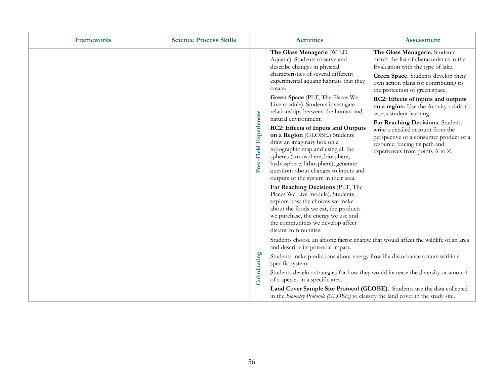| <b>Frameworks</b> | <b>Science Process Skills</b>                                                                                                                                                                                                                                                                                                                                      | <b>Activities</b>      |                                                                                                                                                                                                                                                                                                                                                                                                                                                                                                                                                                                                                                                                                                                                                                                                                                                                                              | <b>Assessment</b>                                                                                                                                                                                                                                                                                                                                                                                                                                                                                                                    |
|-------------------|--------------------------------------------------------------------------------------------------------------------------------------------------------------------------------------------------------------------------------------------------------------------------------------------------------------------------------------------------------------------|------------------------|----------------------------------------------------------------------------------------------------------------------------------------------------------------------------------------------------------------------------------------------------------------------------------------------------------------------------------------------------------------------------------------------------------------------------------------------------------------------------------------------------------------------------------------------------------------------------------------------------------------------------------------------------------------------------------------------------------------------------------------------------------------------------------------------------------------------------------------------------------------------------------------------|--------------------------------------------------------------------------------------------------------------------------------------------------------------------------------------------------------------------------------------------------------------------------------------------------------------------------------------------------------------------------------------------------------------------------------------------------------------------------------------------------------------------------------------|
|                   |                                                                                                                                                                                                                                                                                                                                                                    | Post-Field Experiences | The Glass Menagerie (WILD<br>Aquatic). Students observe and<br>describe changes in physical<br>characteristics of several different<br>experimental aquatic habitats that they<br>create.<br>Green Space (PLT, The Places We<br>Live module). Students investigate<br>relationships between the human and<br>natural environment.<br>RC2: Effects of Inputs and Outputs<br>on a Region (GLOBE.) Students<br>draw an imaginary box on a<br>topographic map and using all the<br>spheres (atmosphere, biosphere,<br>hydrosphere, lithosphere), generate<br>questions about changes to inputs and<br>outputs of the system in their area.<br>Far Reaching Decisions (PLT, The<br>Places We Live module). Students<br>explore how the choices we make<br>about the foods we eat, the products<br>we purchase, the energy we use and<br>the communities we develop affect<br>distant communities. | The Glass Menagerie. Students<br>match the list of characteristics in the<br>Evaluation with the type of lake.<br>Green Space. Students develop their<br>own action plans for contributing to<br>the protection of green space.<br>RC2: Effects of inputs and outputs<br>on a region. Use the Activity rubric to<br>assess student learning.<br>Far Reaching Decisions. Students<br>write a detailed account from the<br>perspective of a consumer product or a<br>resource, tracing its path and<br>experiences from points A to Z. |
|                   | Students choose an abiotic factor change that would affect the wildlife of an area<br>and describe its potential impact.<br>Culminating<br>Students make predictions about energy flow if a disturbance occurs within a<br>specific system.<br>Students develop strategies for how they would increase the diversity or amount<br>of a species in a specific area. |                        |                                                                                                                                                                                                                                                                                                                                                                                                                                                                                                                                                                                                                                                                                                                                                                                                                                                                                              |                                                                                                                                                                                                                                                                                                                                                                                                                                                                                                                                      |
|                   |                                                                                                                                                                                                                                                                                                                                                                    |                        | Land Cover Sample Site Protocol (GLOBE). Students use the data collected<br>in the Biometry Protocols (GLOBE) to classify the land cover in the study site.                                                                                                                                                                                                                                                                                                                                                                                                                                                                                                                                                                                                                                                                                                                                  |                                                                                                                                                                                                                                                                                                                                                                                                                                                                                                                                      |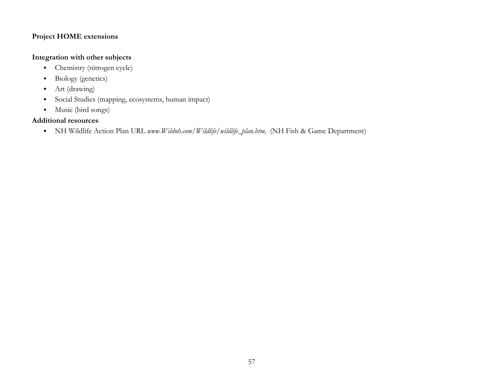### **Integration with other subjects**

- $\blacksquare$ Chemistry (nitrogen cycle)
- $\blacksquare$ Biology (genetics)
- $\blacksquare$ Art (drawing)
- $\blacksquare$ Social Studies (mapping, ecosystems, human impact)
- $\blacksquare$ Music (bird songs)

### **Additional resources**

NH Wildlife Action Plan URL *www.Wildnh.com/Wildlife/wildlife\_plan.htm,* (NH Fish & Game Department)